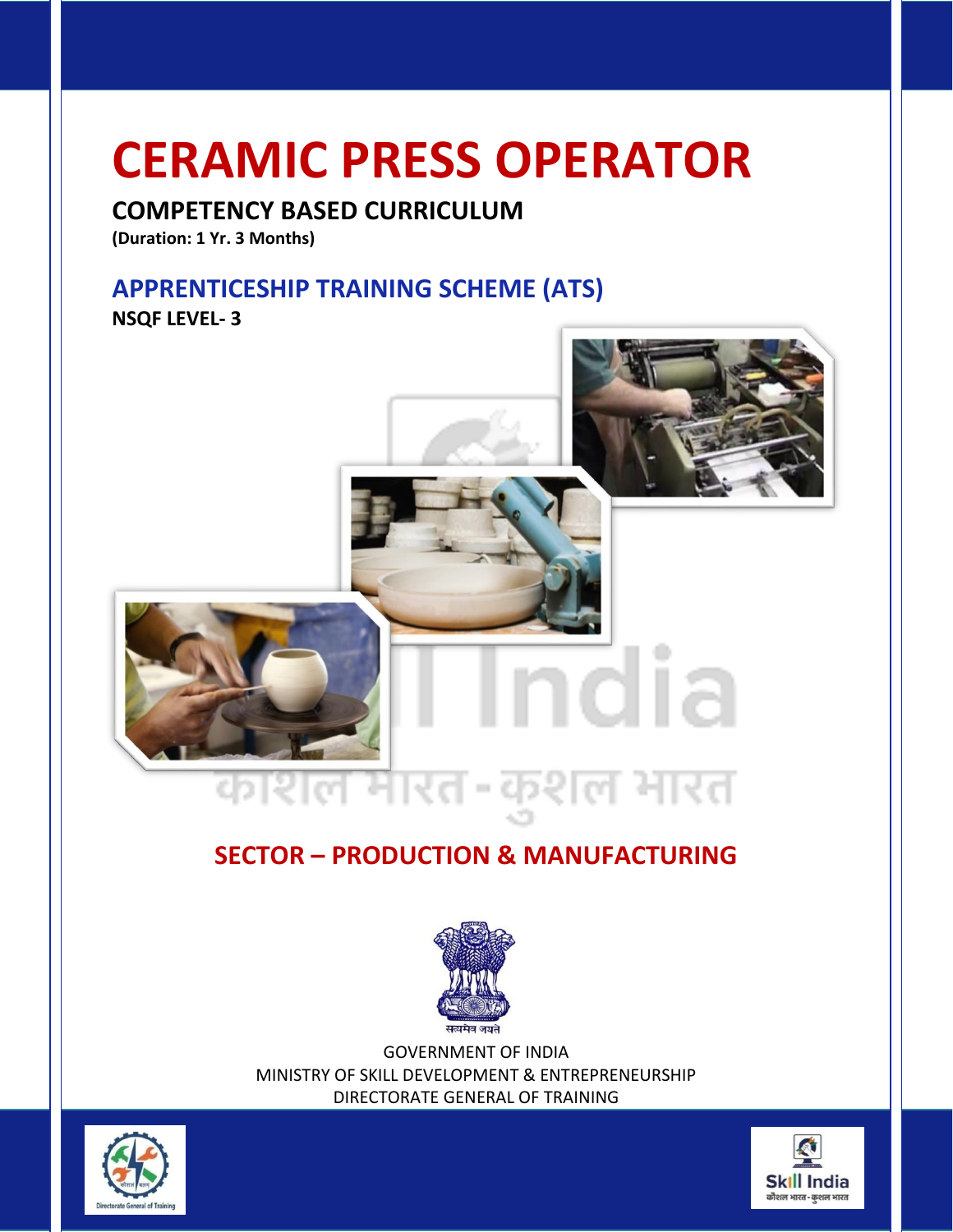# **CERAMIC PRESS OPERATOR**

# **COMPETENCY BASED CURRICULUM**

**(Duration: 1 Yr. 3 Months)**

# **APPRENTICESHIP TRAINING SCHEME (ATS)**

**NSQF LEVEL- 3**



# **SECTOR – PRODUCTION & MANUFACTURING**



GOVERNMENT OF INDIA MINISTRY OF SKILL DEVELOPMENT & ENTREPRENEURSHIP DIRECTORATE GENERAL OF TRAINING



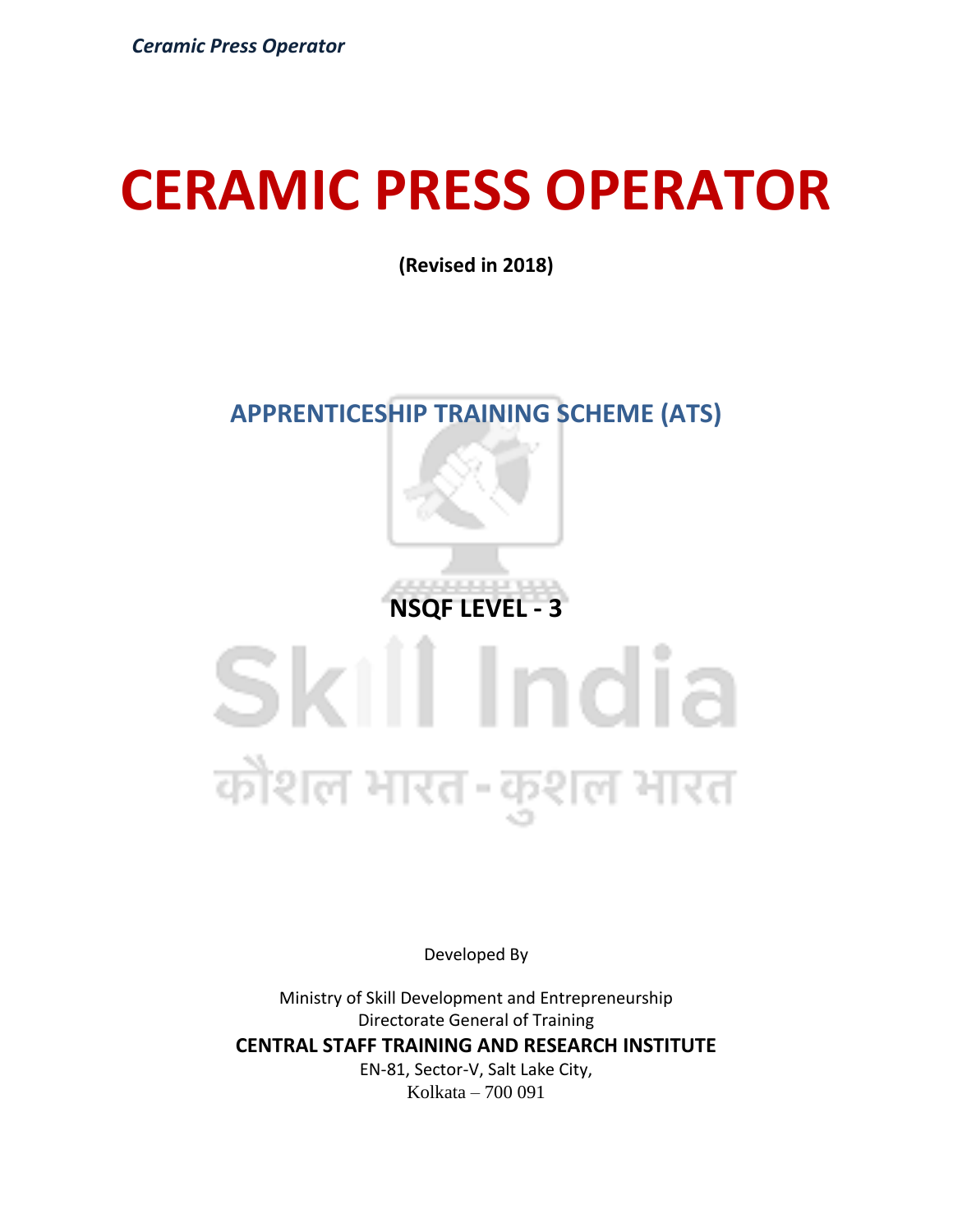# **CERAMIC PRESS OPERATOR**

**(Revised in 2018)**

# **APPRENTICESHIP TRAINING SCHEME (ATS)**

**NSQF LEVEL - 3**

# Skill India कौशल भारत-कुशल भारत

Developed By

Ministry of Skill Development and Entrepreneurship Directorate General of Training **CENTRAL STAFF TRAINING AND RESEARCH INSTITUTE** EN-81, Sector-V, Salt Lake City, Kolkata – 700 091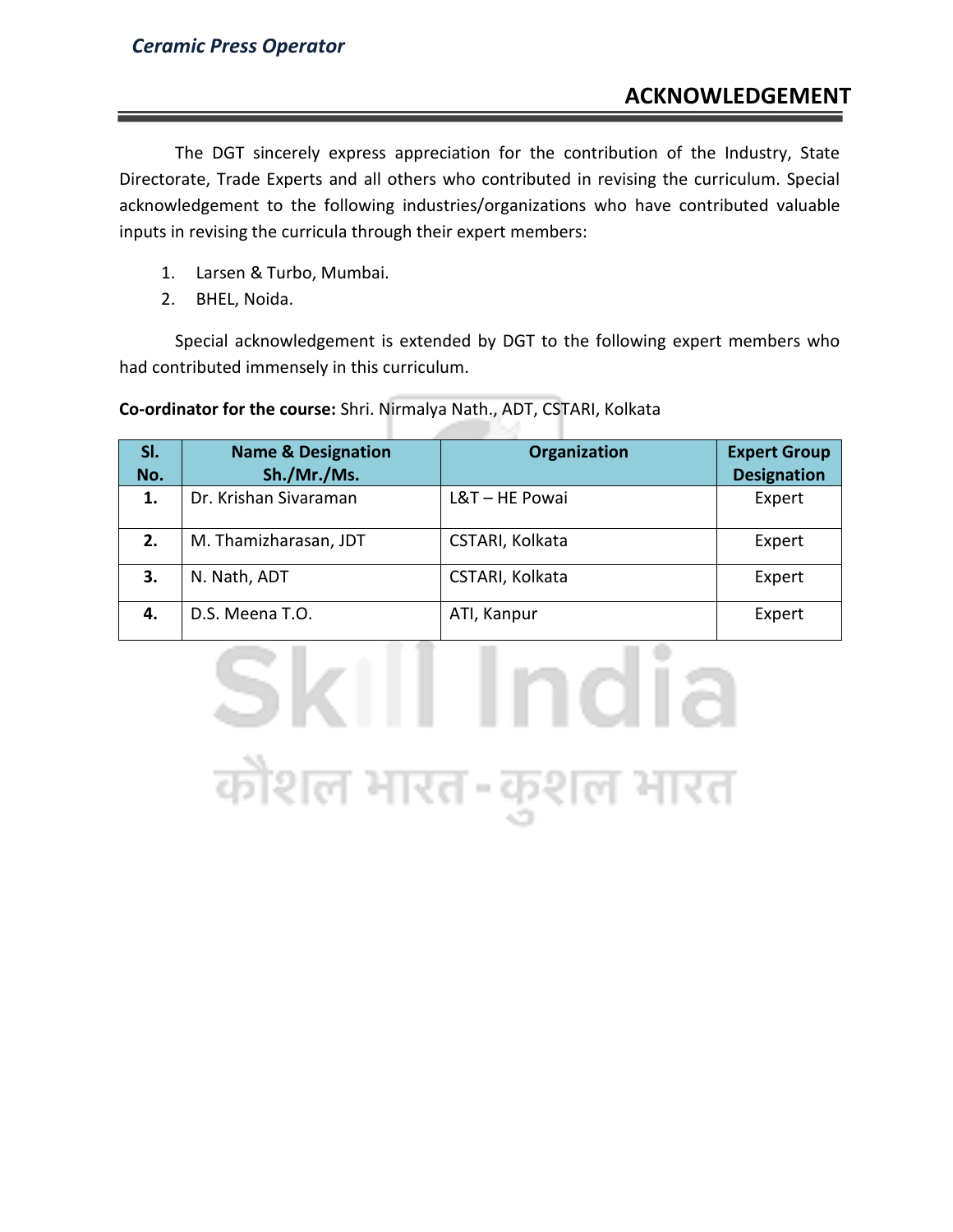# **ACKNOWLEDGEMENT**

The DGT sincerely express appreciation for the contribution of the Industry, State Directorate, Trade Experts and all others who contributed in revising the curriculum. Special acknowledgement to the following industries/organizations who have contributed valuable inputs in revising the curricula through their expert members:

- 1. Larsen & Turbo, Mumbai.
- 2. BHEL, Noida.

Special acknowledgement is extended by DGT to the following expert members who had contributed immensely in this curriculum.

**Co-ordinator for the course:** Shri. Nirmalya Nath., ADT, CSTARI, Kolkata

| SI.<br>No. | <b>Name &amp; Designation</b><br>Sh./Mr./Ms. | <b>Organization</b> | <b>Expert Group</b><br><b>Designation</b> |
|------------|----------------------------------------------|---------------------|-------------------------------------------|
| 1.         | Dr. Krishan Sivaraman                        | L&T-HE Powai        | Expert                                    |
| 2.         | M. Thamizharasan, JDT                        | CSTARI, Kolkata     | Expert                                    |
| 3.         | N. Nath, ADT                                 | CSTARI, Kolkata     | Expert                                    |
| 4.         | D.S. Meena T.O.                              | ATI, Kanpur         | Expert                                    |

Skill India

कौशल भारत-कुशल भारत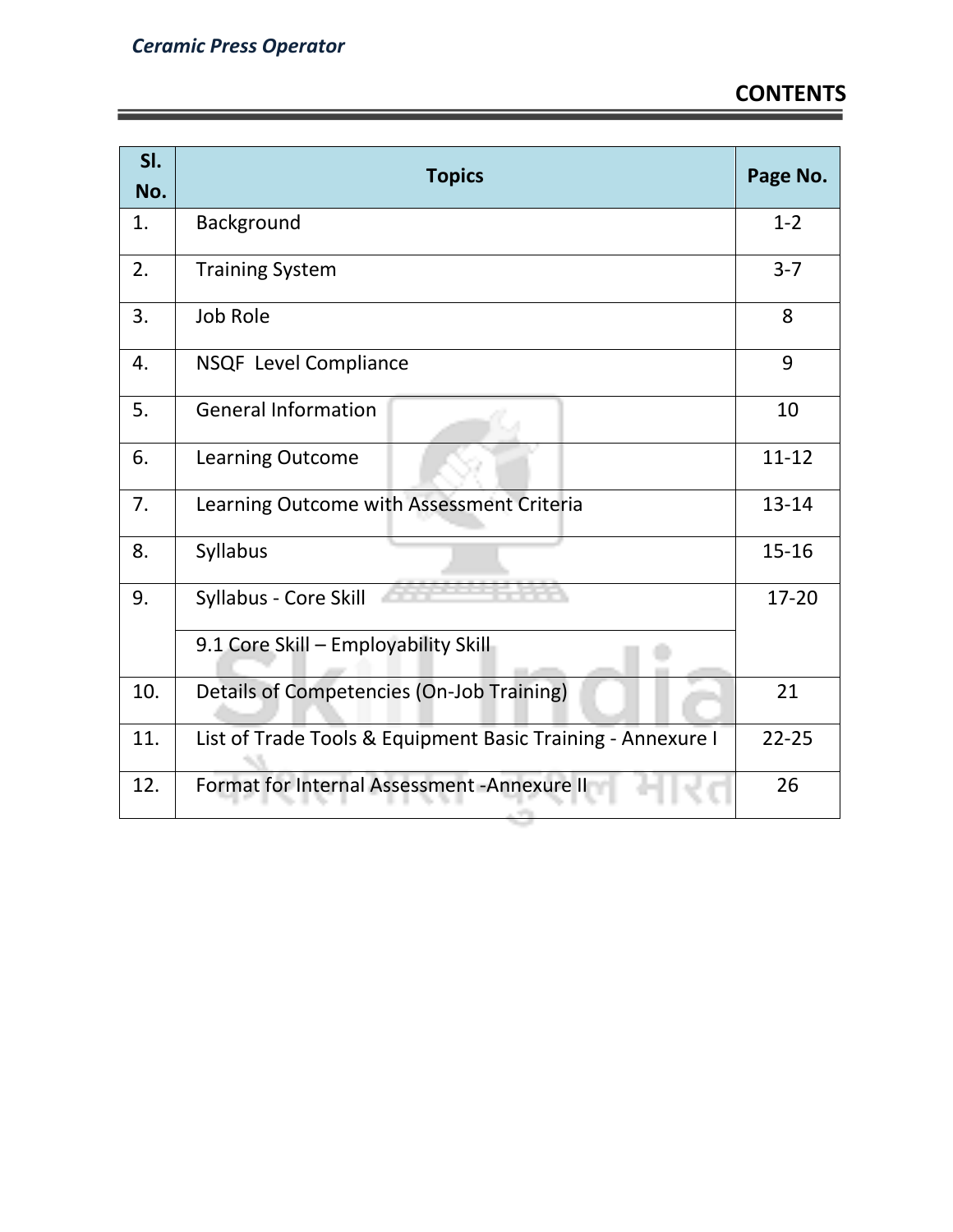| SI.<br>No. | <b>Topics</b>                                               | Page No.  |
|------------|-------------------------------------------------------------|-----------|
| 1.         | Background                                                  | $1 - 2$   |
| 2.         | <b>Training System</b>                                      | $3 - 7$   |
| 3.         | <b>Job Role</b>                                             | 8         |
| 4.         | NSQF Level Compliance                                       | 9         |
| 5.         | <b>General Information</b>                                  | 10        |
| 6.         | Learning Outcome                                            | $11 - 12$ |
| 7.         | Learning Outcome with Assessment Criteria                   | 13-14     |
| 8.         | Syllabus                                                    | $15 - 16$ |
| 9.         | Syllabus - Core Skill                                       | 17-20     |
|            | 9.1 Core Skill - Employability Skill                        |           |
| 10.        | Details of Competencies (On-Job Training)                   | 21        |
| 11.        | List of Trade Tools & Equipment Basic Training - Annexure I | $22 - 25$ |
| 12.        | Format for Internal Assessment - Annexure II                | 26        |

المحالة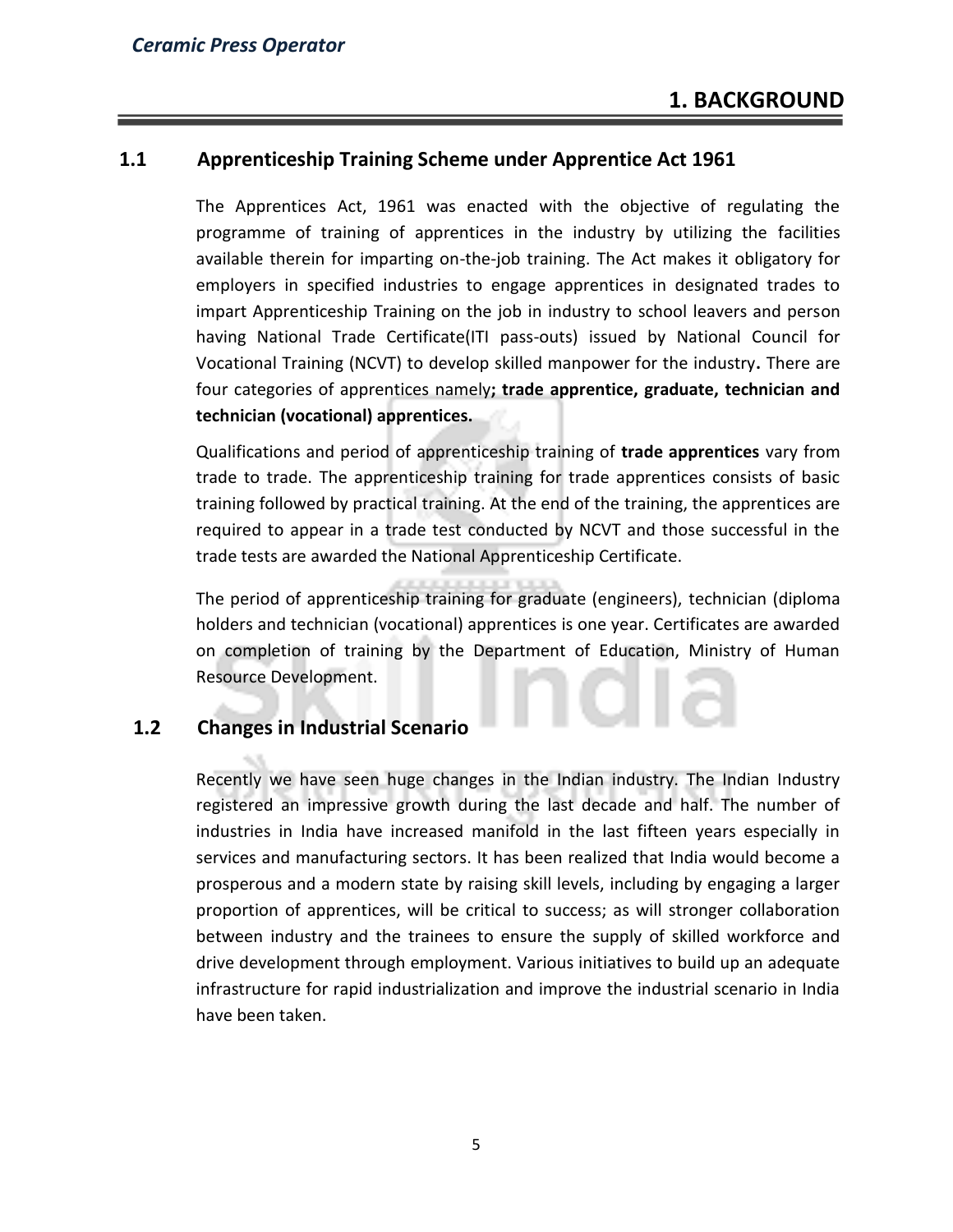### **1.1 Apprenticeship Training Scheme under Apprentice Act 1961**

The Apprentices Act, 1961 was enacted with the objective of regulating the programme of training of apprentices in the industry by utilizing the facilities available therein for imparting on-the-job training. The Act makes it obligatory for employers in specified industries to engage apprentices in designated trades to impart Apprenticeship Training on the job in industry to school leavers and person having National Trade Certificate(ITI pass-outs) issued by National Council for Vocational Training (NCVT) to develop skilled manpower for the industry**.** There are four categories of apprentices namely**; trade apprentice, graduate, technician and technician (vocational) apprentices.** 

Qualifications and period of apprenticeship training of **trade apprentices** vary from trade to trade. The apprenticeship training for trade apprentices consists of basic training followed by practical training. At the end of the training, the apprentices are required to appear in a trade test conducted by NCVT and those successful in the trade tests are awarded the National Apprenticeship Certificate.

The period of apprenticeship training for graduate (engineers), technician (diploma holders and technician (vocational) apprentices is one year. Certificates are awarded on completion of training by the Department of Education, Ministry of Human Resource Development.

# **1.2 Changes in Industrial Scenario**

Recently we have seen huge changes in the Indian industry. The Indian Industry registered an impressive growth during the last decade and half. The number of industries in India have increased manifold in the last fifteen years especially in services and manufacturing sectors. It has been realized that India would become a prosperous and a modern state by raising skill levels, including by engaging a larger proportion of apprentices, will be critical to success; as will stronger collaboration between industry and the trainees to ensure the supply of skilled workforce and drive development through employment. Various initiatives to build up an adequate infrastructure for rapid industrialization and improve the industrial scenario in India have been taken.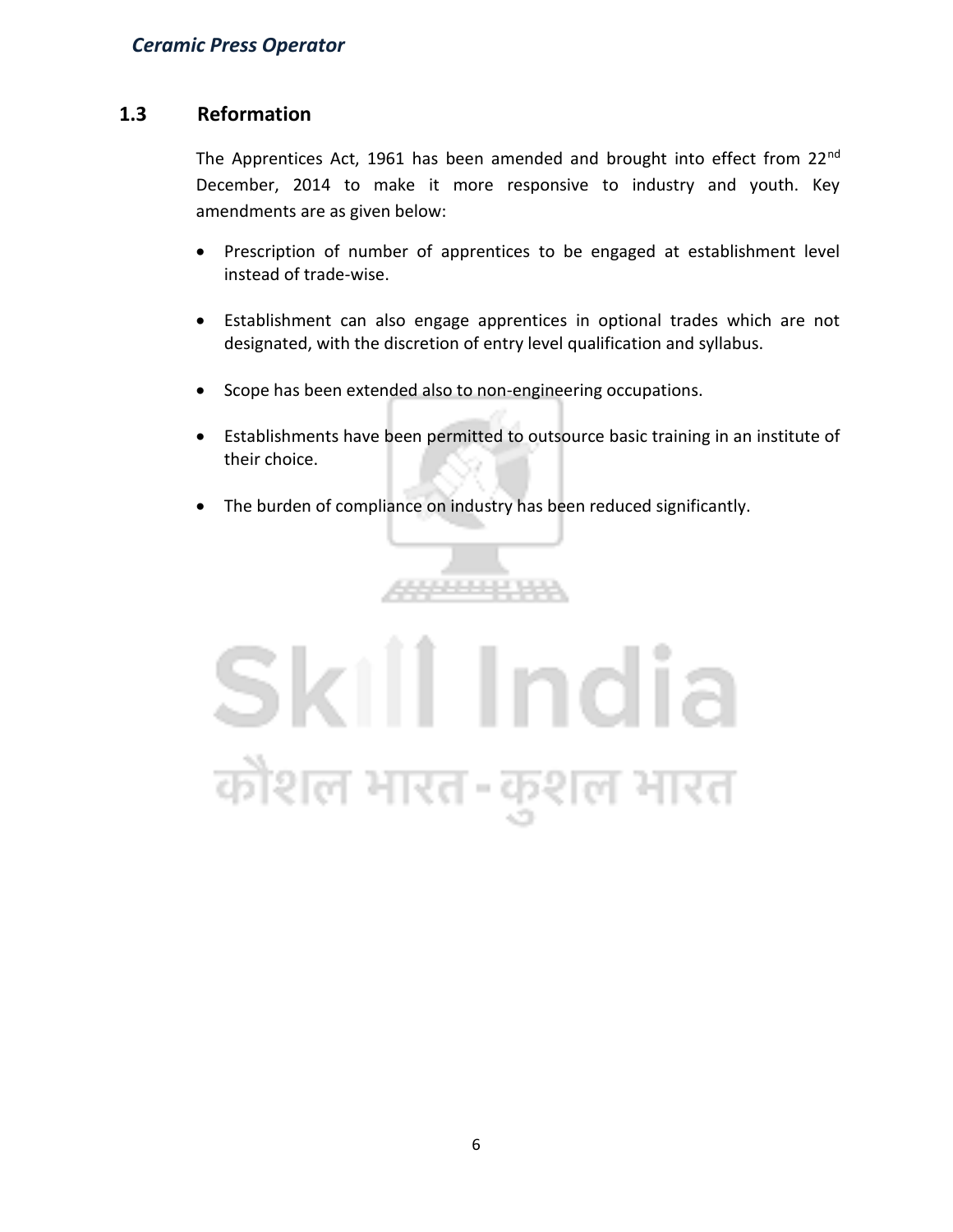# **1.3 Reformation**

The Apprentices Act, 1961 has been amended and brought into effect from 22<sup>nd</sup> December, 2014 to make it more responsive to industry and youth. Key amendments are as given below:

- Prescription of number of apprentices to be engaged at establishment level instead of trade-wise.
- Establishment can also engage apprentices in optional trades which are not designated, with the discretion of entry level qualification and syllabus.
- Scope has been extended also to non-engineering occupations.
- Establishments have been permitted to outsource basic training in an institute of their choice.
- The burden of compliance on industry has been reduced significantly.

,,,,,,,,,,,,

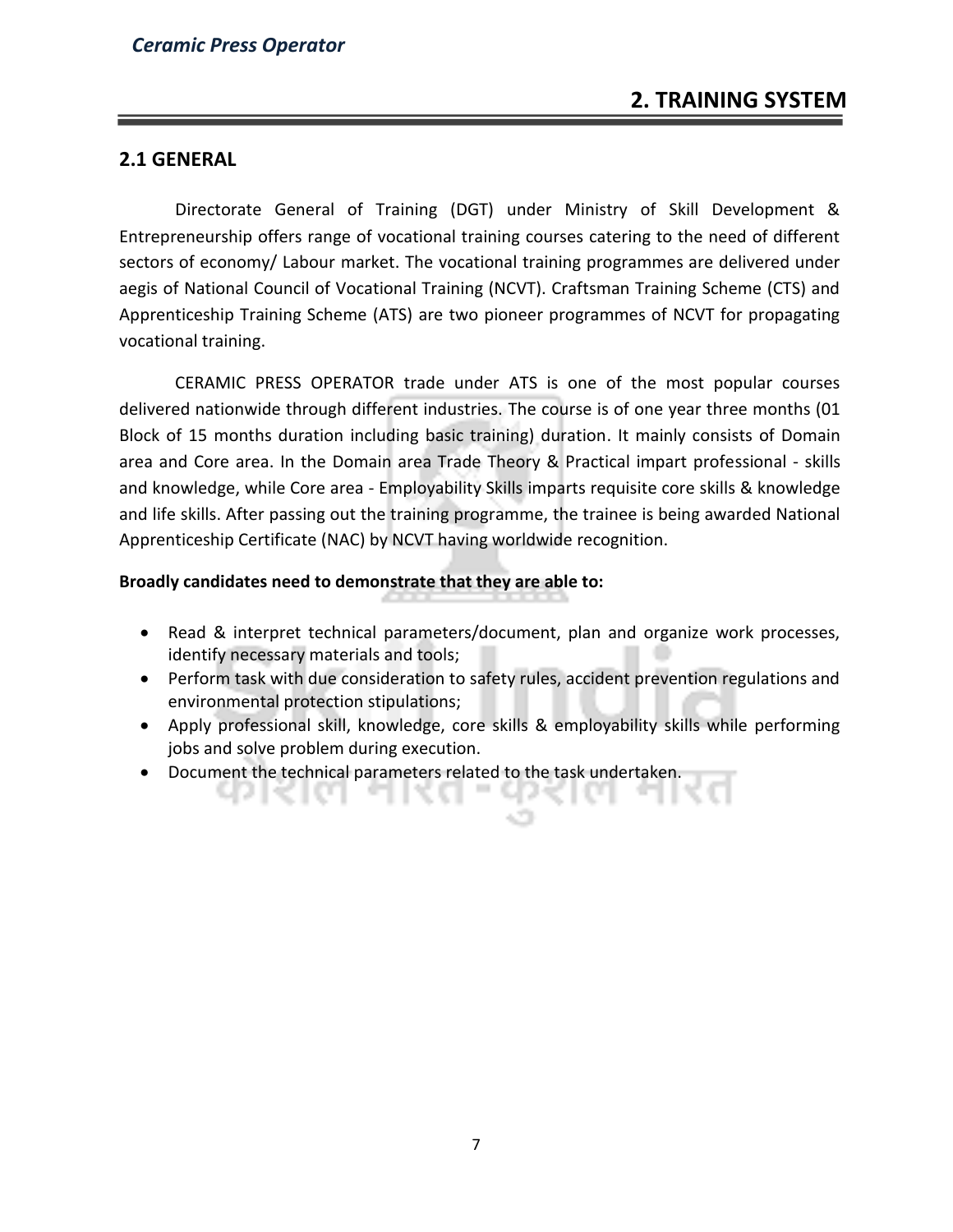### **2.1 GENERAL**

Directorate General of Training (DGT) under Ministry of Skill Development & Entrepreneurship offers range of vocational training courses catering to the need of different sectors of economy/ Labour market. The vocational training programmes are delivered under aegis of National Council of Vocational Training (NCVT). Craftsman Training Scheme (CTS) and Apprenticeship Training Scheme (ATS) are two pioneer programmes of NCVT for propagating vocational training.

CERAMIC PRESS OPERATOR trade under ATS is one of the most popular courses delivered nationwide through different industries. The course is of one year three months (01 Block of 15 months duration including basic training) duration. It mainly consists of Domain area and Core area. In the Domain area Trade Theory & Practical impart professional - skills and knowledge, while Core area - Employability Skills imparts requisite core skills & knowledge and life skills. After passing out the training programme, the trainee is being awarded National Apprenticeship Certificate (NAC) by NCVT having worldwide recognition.

#### **Broadly candidates need to demonstrate that they are able to:**

чикне

- Read & interpret technical parameters/document, plan and organize work processes, identify necessary materials and tools;
- Perform task with due consideration to safety rules, accident prevention regulations and environmental protection stipulations;
- Apply professional skill, knowledge, core skills & employability skills while performing jobs and solve problem during execution.
- Document the technical parameters related to the task undertaken.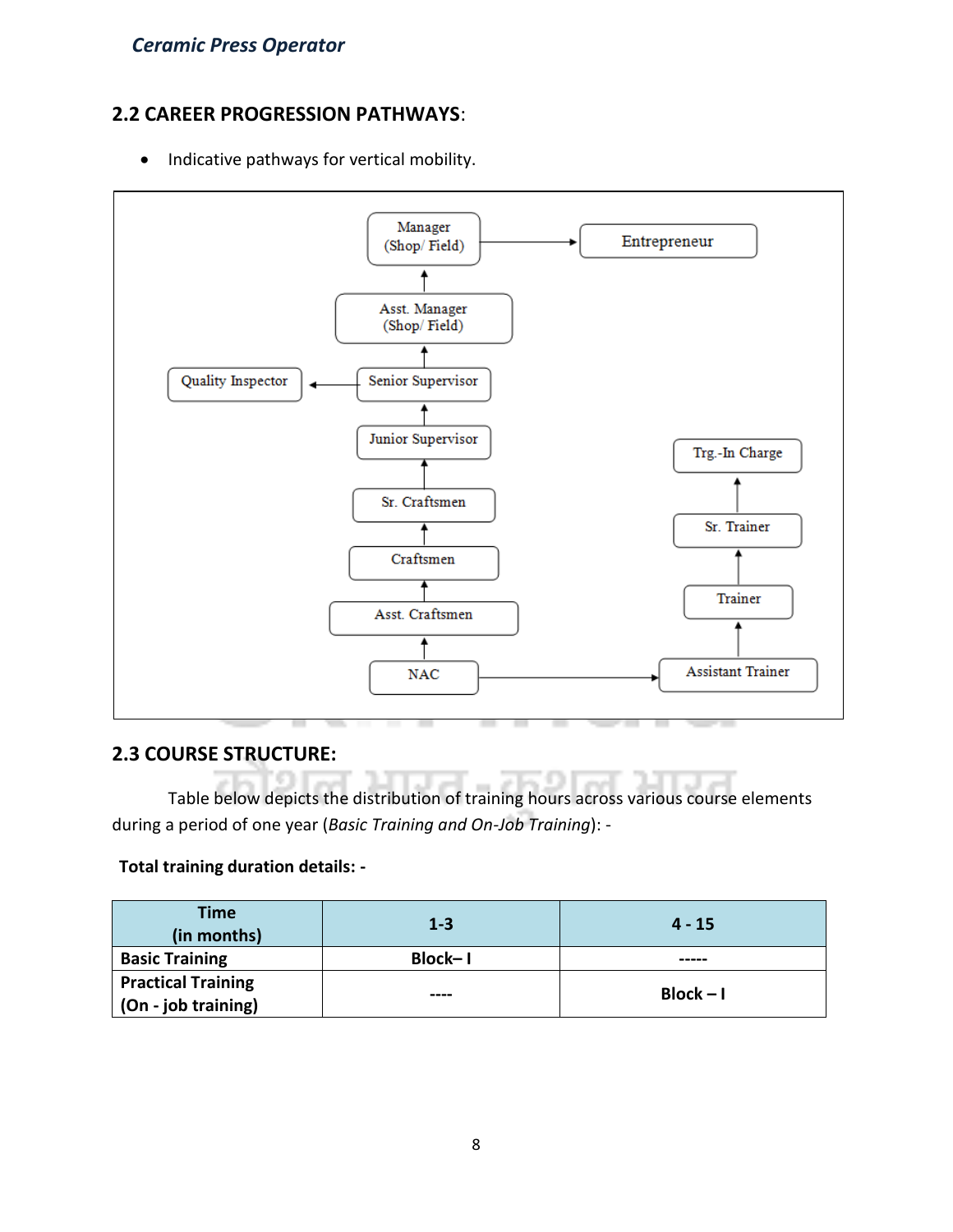# **2.2 CAREER PROGRESSION PATHWAYS**:

• Indicative pathways for vertical mobility.



# **2.3 COURSE STRUCTURE:**

Table below depicts the distribution of training hours across various course elements during a period of one year (*Basic Training and On-Job Training*): -

# **Total training duration details: -**

| <b>Time</b><br>(in months)                       | $1 - 3$ | $4 - 15$    |
|--------------------------------------------------|---------|-------------|
| <b>Basic Training</b>                            | Block-I | -----       |
| <b>Practical Training</b><br>(On - job training) | ----    | $Block - I$ |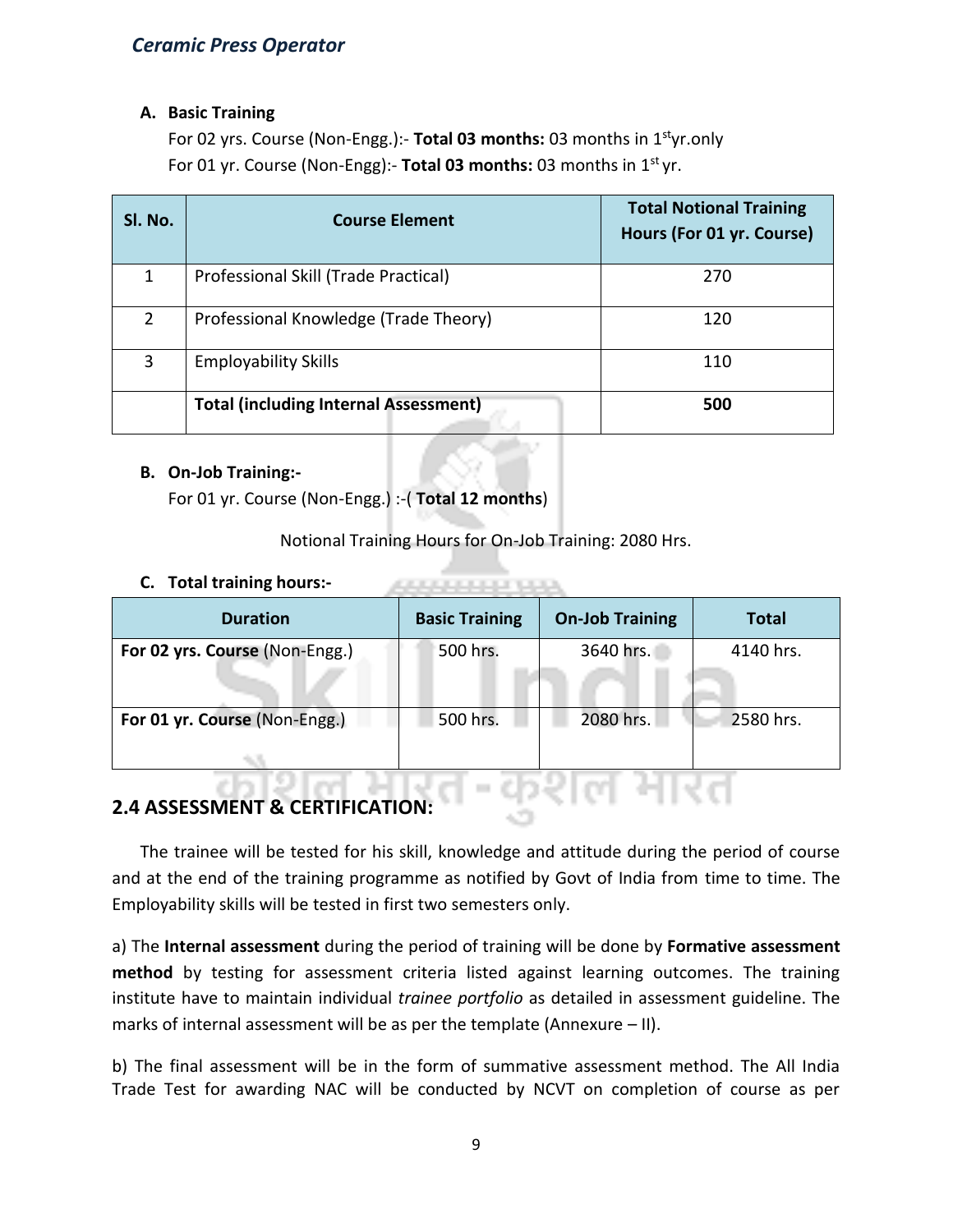#### **A. Basic Training**

For 02 yrs. Course (Non-Engg.):- **Total 03 months:** 03 months in 1styr.only For 01 yr. Course (Non-Engg):- **Total 03 months:** 03 months in 1st yr.

| Sl. No.       | <b>Course Element</b>                        | <b>Total Notional Training</b><br>Hours (For 01 yr. Course) |
|---------------|----------------------------------------------|-------------------------------------------------------------|
|               | Professional Skill (Trade Practical)         | 270                                                         |
| $\mathcal{P}$ | Professional Knowledge (Trade Theory)        | 120                                                         |
| 3             | <b>Employability Skills</b>                  | 110                                                         |
|               | <b>Total (including Internal Assessment)</b> | 500                                                         |

#### **B. On-Job Training:-**

For 01 yr. Course (Non-Engg.) :-( **Total 12 months**)

Notional Training Hours for On-Job Training: 2080 Hrs.

ARRESTS MADE BANK

#### **C. Total training hours:-**

| <b>Duration</b>                | <b>Basic Training</b> | <b>On-Job Training</b> | <b>Total</b> |
|--------------------------------|-----------------------|------------------------|--------------|
| For 02 yrs. Course (Non-Engg.) | 500 hrs.              | 3640 hrs.              | 4140 hrs.    |
| For 01 yr. Course (Non-Engg.)  | 500 hrs.              | 2080 hrs.              | 2580 hrs.    |

# **2.4 ASSESSMENT & CERTIFICATION:**

The trainee will be tested for his skill, knowledge and attitude during the period of course and at the end of the training programme as notified by Govt of India from time to time. The Employability skills will be tested in first two semesters only.

a) The **Internal assessment** during the period of training will be done by **Formative assessment method** by testing for assessment criteria listed against learning outcomes. The training institute have to maintain individual *trainee portfolio* as detailed in assessment guideline. The marks of internal assessment will be as per the template (Annexure – II).

b) The final assessment will be in the form of summative assessment method. The All India Trade Test for awarding NAC will be conducted by NCVT on completion of course as per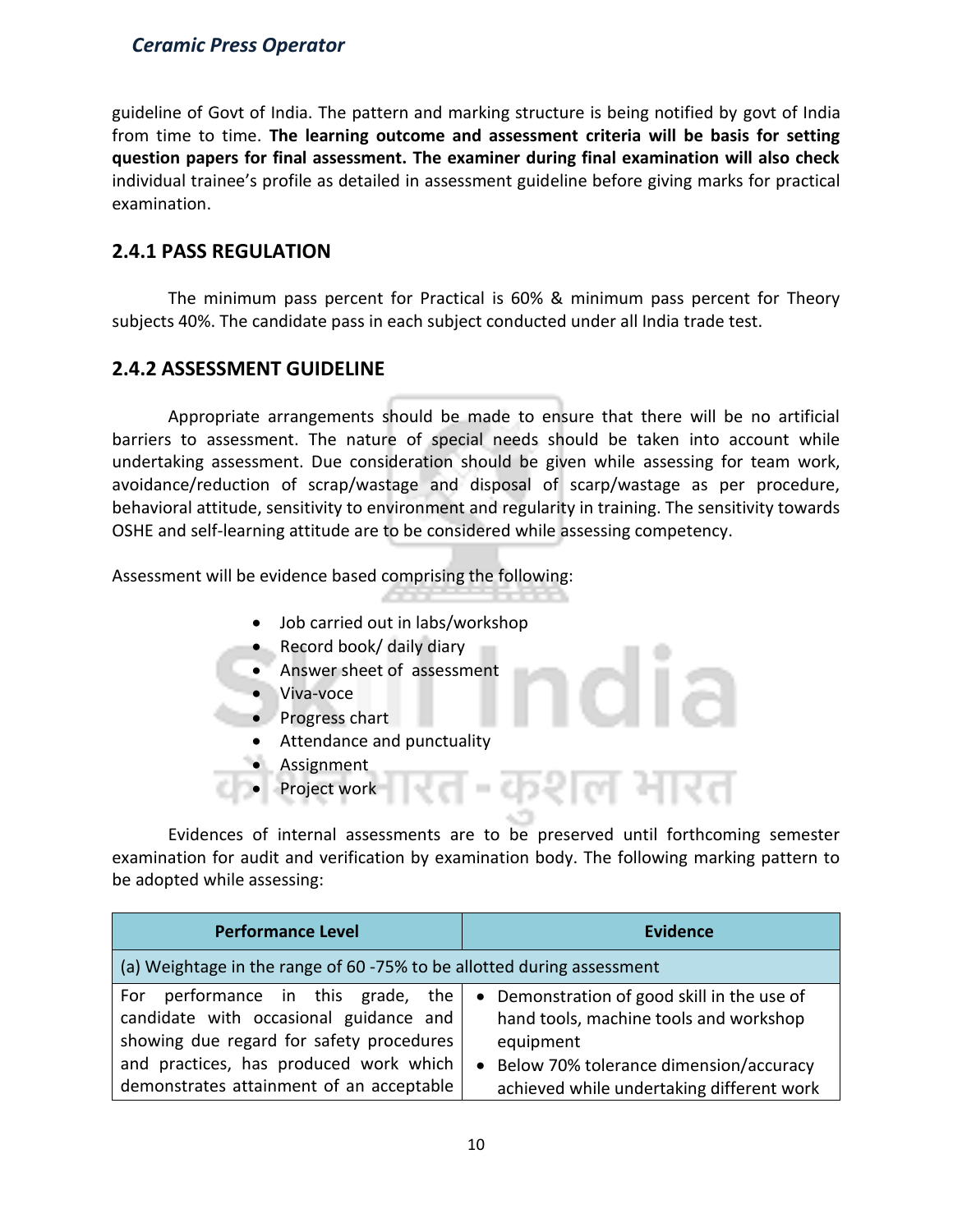guideline of Govt of India. The pattern and marking structure is being notified by govt of India from time to time. **The learning outcome and assessment criteria will be basis for setting question papers for final assessment. The examiner during final examination will also check**  individual trainee's profile as detailed in assessment guideline before giving marks for practical examination.

# **2.4.1 PASS REGULATION**

The minimum pass percent for Practical is 60% & minimum pass percent for Theory subjects 40%. The candidate pass in each subject conducted under all India trade test.

# **2.4.2 ASSESSMENT GUIDELINE**

Appropriate arrangements should be made to ensure that there will be no artificial barriers to assessment. The nature of special needs should be taken into account while undertaking assessment. Due consideration should be given while assessing for team work, avoidance/reduction of scrap/wastage and disposal of scarp/wastage as per procedure, behavioral attitude, sensitivity to environment and regularity in training. The sensitivity towards OSHE and self-learning attitude are to be considered while assessing competency.

Assessment will be evidence based comprising the following:

- Job carried out in labs/workshop
- Record book/ daily diary
- Answer sheet of assessment
- Viva-voce
- Progress chart
	- Attendance and punctuality
- **Assignment**
- Project work

Evidences of internal assessments are to be preserved until forthcoming semester examination for audit and verification by examination body. The following marking pattern to be adopted while assessing:

 $\epsilon$ 

ल मार

| <b>Performance Level</b>                                                                                                    | <b>Evidence</b>                                                                                    |
|-----------------------------------------------------------------------------------------------------------------------------|----------------------------------------------------------------------------------------------------|
| (a) Weightage in the range of 60 -75% to be allotted during assessment                                                      |                                                                                                    |
| performance in this grade, the<br>For<br>candidate with occasional guidance and<br>showing due regard for safety procedures | • Demonstration of good skill in the use of<br>hand tools, machine tools and workshop<br>equipment |
| and practices, has produced work which<br>demonstrates attainment of an acceptable                                          | • Below 70% tolerance dimension/accuracy<br>achieved while undertaking different work              |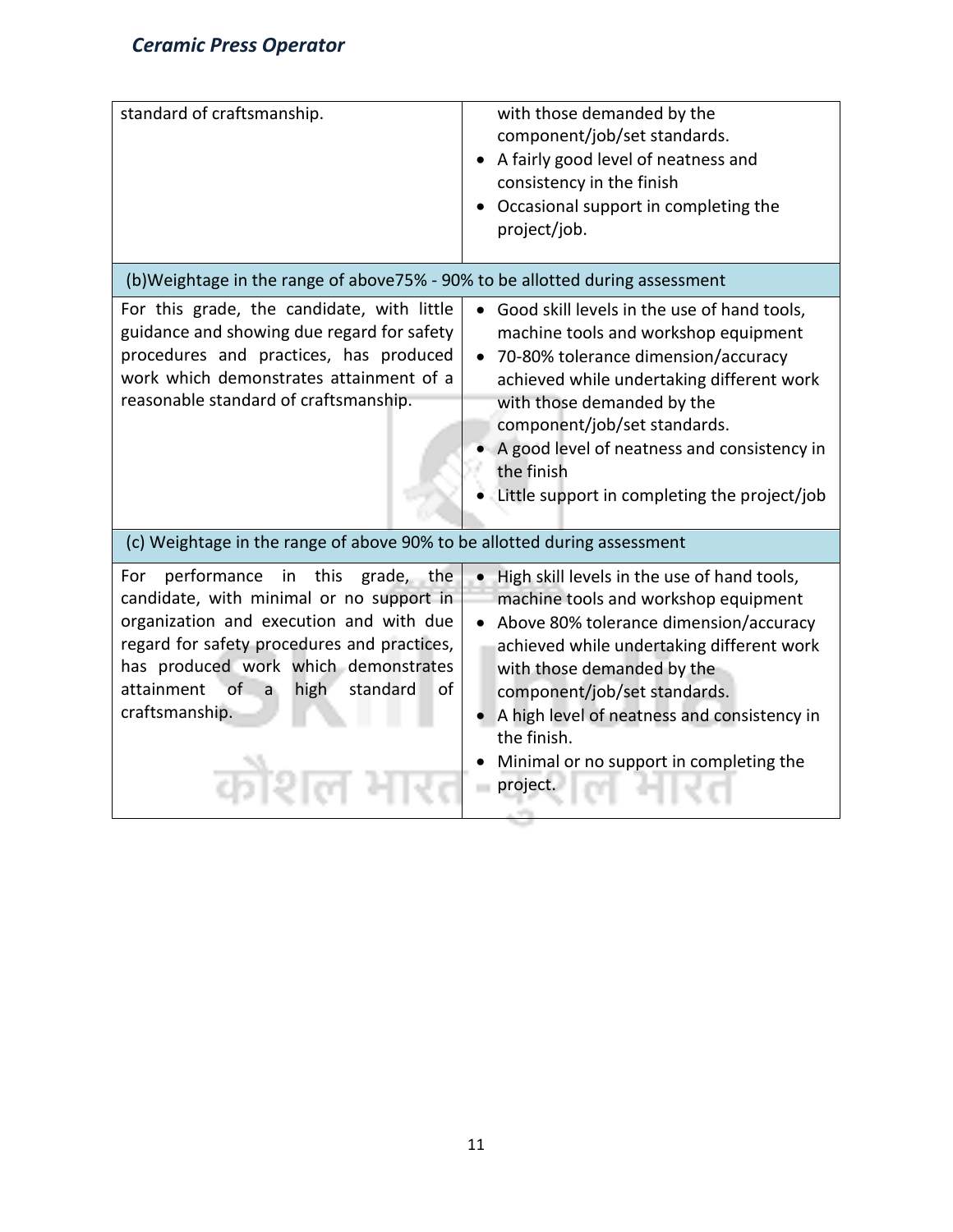| standard of craftsmanship.                                                                                                                                                                                                                                                                                 | with those demanded by the<br>component/job/set standards.<br>A fairly good level of neatness and<br>consistency in the finish<br>Occasional support in completing the<br>project/job.                                                                                                                                                                          |
|------------------------------------------------------------------------------------------------------------------------------------------------------------------------------------------------------------------------------------------------------------------------------------------------------------|-----------------------------------------------------------------------------------------------------------------------------------------------------------------------------------------------------------------------------------------------------------------------------------------------------------------------------------------------------------------|
| (b)Weightage in the range of above75% - 90% to be allotted during assessment                                                                                                                                                                                                                               |                                                                                                                                                                                                                                                                                                                                                                 |
| For this grade, the candidate, with little<br>guidance and showing due regard for safety<br>procedures and practices, has produced<br>work which demonstrates attainment of a<br>reasonable standard of craftsmanship.                                                                                     | Good skill levels in the use of hand tools,<br>machine tools and workshop equipment<br>70-80% tolerance dimension/accuracy<br>achieved while undertaking different work<br>with those demanded by the<br>component/job/set standards.<br>A good level of neatness and consistency in<br>the finish<br>Little support in completing the project/job              |
| (c) Weightage in the range of above 90% to be allotted during assessment                                                                                                                                                                                                                                   |                                                                                                                                                                                                                                                                                                                                                                 |
| in this<br>performance<br>grade, the<br>For<br>candidate, with minimal or no support in<br>organization and execution and with due<br>regard for safety procedures and practices,<br>has produced work which demonstrates<br>of.<br>attainment<br>high<br>standard<br>οf<br>$\mathsf{a}$<br>craftsmanship. | . High skill levels in the use of hand tools,<br>machine tools and workshop equipment<br>Above 80% tolerance dimension/accuracy<br>achieved while undertaking different work<br>with those demanded by the<br>component/job/set standards.<br>A high level of neatness and consistency in<br>the finish.<br>Minimal or no support in completing the<br>project. |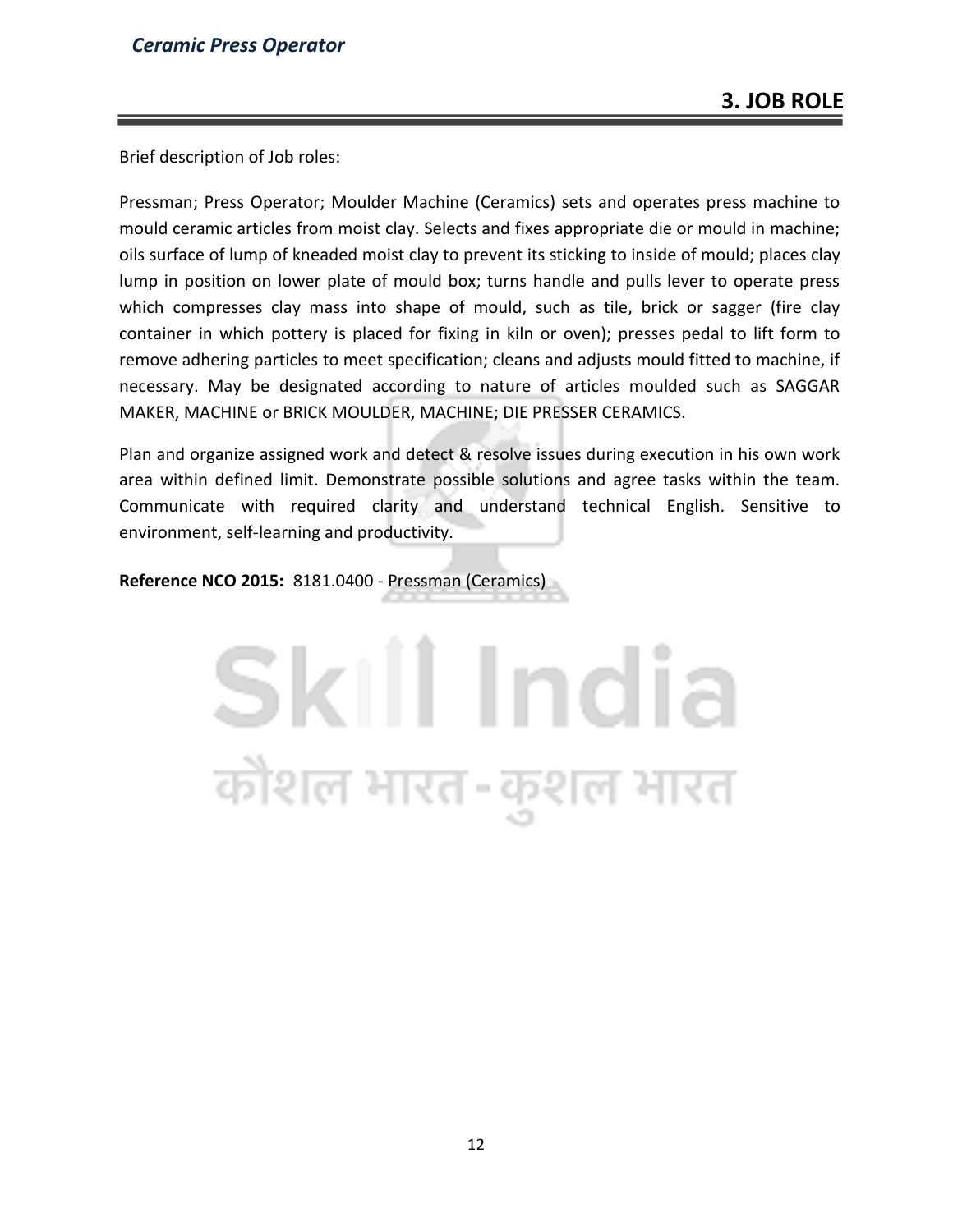Brief description of Job roles:

Pressman; Press Operator; Moulder Machine (Ceramics) sets and operates press machine to mould ceramic articles from moist clay. Selects and fixes appropriate die or mould in machine; oils surface of lump of kneaded moist clay to prevent its sticking to inside of mould; places clay lump in position on lower plate of mould box; turns handle and pulls lever to operate press which compresses clay mass into shape of mould, such as tile, brick or sagger (fire clay container in which pottery is placed for fixing in kiln or oven); presses pedal to lift form to remove adhering particles to meet specification; cleans and adjusts mould fitted to machine, if necessary. May be designated according to nature of articles moulded such as SAGGAR MAKER, MACHINE or BRICK MOULDER, MACHINE; DIE PRESSER CERAMICS.

Plan and organize assigned work and detect & resolve issues during execution in his own work area within defined limit. Demonstrate possible solutions and agree tasks within the team. Communicate with required clarity and understand technical English. Sensitive to environment, self-learning and productivity.

**Reference NCO 2015:** 8181.0400 - Pressman (Ceramics)

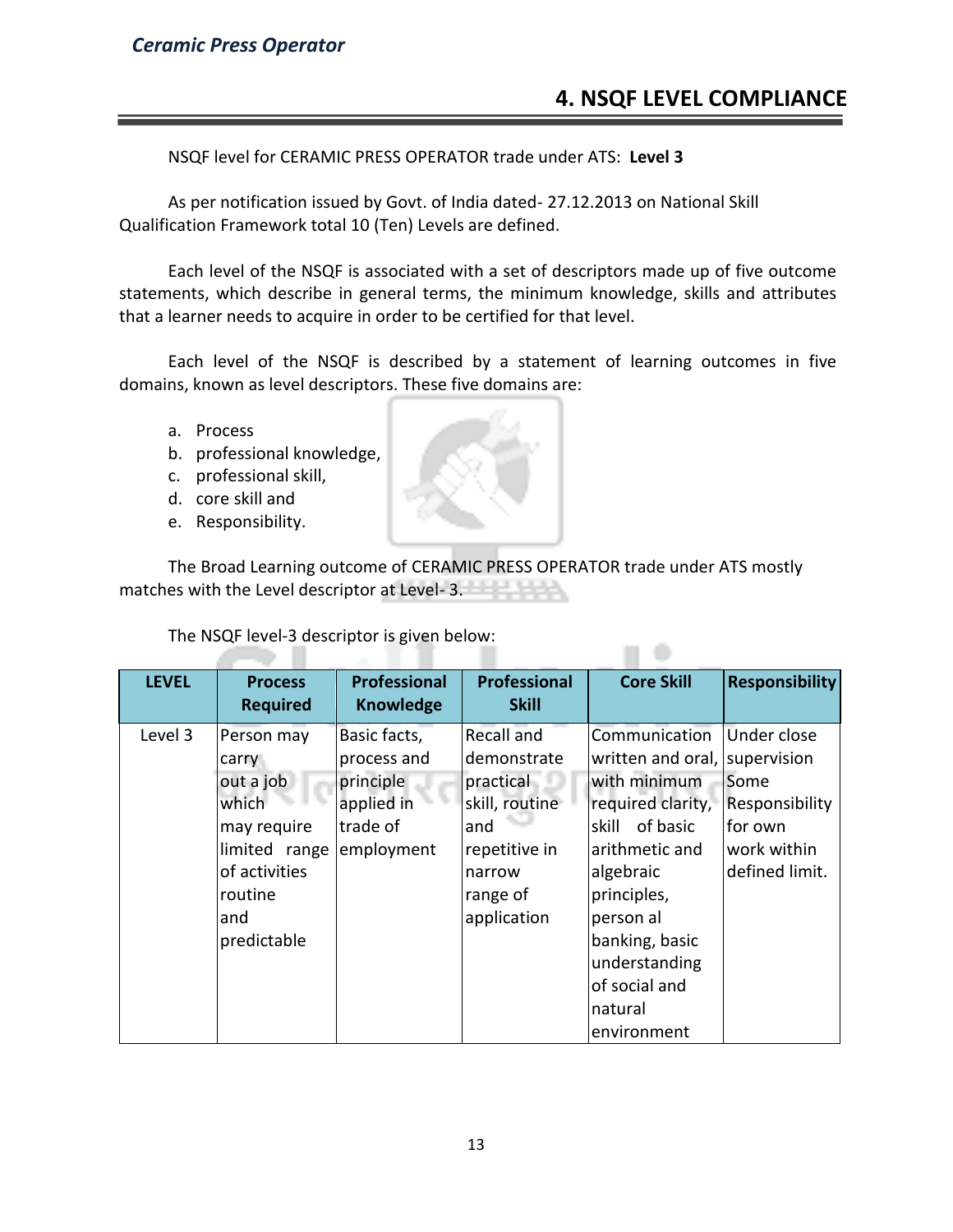# **4. NSQF LEVEL COMPLIANCE**

 $\Box$   $\oplus$ 

NSQF level for CERAMIC PRESS OPERATOR trade under ATS: **Level 3**

As per notification issued by Govt. of India dated- 27.12.2013 on National Skill Qualification Framework total 10 (Ten) Levels are defined.

Each level of the NSQF is associated with a set of descriptors made up of five outcome statements, which describe in general terms, the minimum knowledge, skills and attributes that a learner needs to acquire in order to be certified for that level.

Each level of the NSQF is described by a statement of learning outcomes in five domains, known as level descriptors. These five domains are:

- a. Process
- b. professional knowledge,

in T

- c. professional skill,
- d. core skill and
- e. Responsibility.

The Broad Learning outcome of CERAMIC PRESS OPERATOR trade under ATS mostly matches with the Level descriptor at Level- 3.

The NSQF level-3 descriptor is given below:

| <b>LEVEL</b> | <b>Process</b>                                                  | <b>Professional</b>                                                | <b>Professional</b>                                             | <b>Core Skill</b>                                                                                                                     | <b>Responsibility</b>                            |
|--------------|-----------------------------------------------------------------|--------------------------------------------------------------------|-----------------------------------------------------------------|---------------------------------------------------------------------------------------------------------------------------------------|--------------------------------------------------|
|              | <b>Required</b>                                                 | <b>Knowledge</b>                                                   | <b>Skill</b>                                                    |                                                                                                                                       |                                                  |
| Level 3      | Person may<br>carry<br>out a job<br>which<br>may require        | Basic facts,<br>process and<br>principle<br>applied in<br>trade of | Recall and<br>demonstrate<br>practical<br>skill, routine<br>and | Communication<br>written and oral, supervision<br>with minimum<br>required clarity,<br>of basic<br>skill                              | Under close<br>Some<br>Responsibility<br>for own |
|              | limited range<br>of activities<br>routine<br>and<br>predictable | employment                                                         | repetitive in<br>narrow<br>range of<br>application              | arithmetic and<br>algebraic<br>principles,<br>person al<br>banking, basic<br>understanding<br>of social and<br>natural<br>environment | work within<br>defined limit.                    |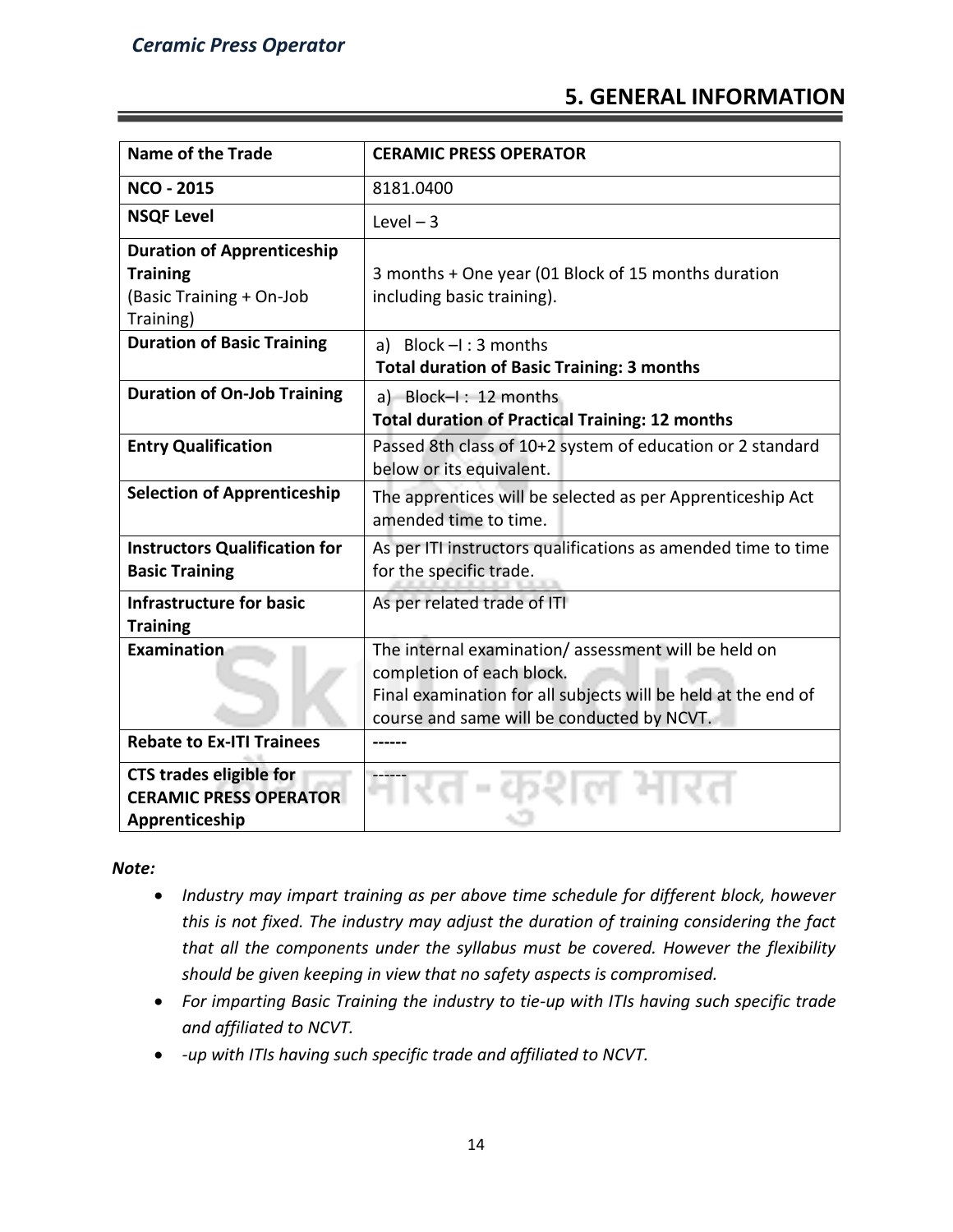# **5. GENERAL INFORMATION**

| <b>Name of the Trade</b>                                                                      | <b>CERAMIC PRESS OPERATOR</b>                                                                                                                                                                   |
|-----------------------------------------------------------------------------------------------|-------------------------------------------------------------------------------------------------------------------------------------------------------------------------------------------------|
| <b>NCO - 2015</b>                                                                             | 8181.0400                                                                                                                                                                                       |
| <b>NSQF Level</b>                                                                             | Level $-3$                                                                                                                                                                                      |
| <b>Duration of Apprenticeship</b><br><b>Training</b><br>(Basic Training + On-Job<br>Training) | 3 months + One year (01 Block of 15 months duration<br>including basic training).                                                                                                               |
| <b>Duration of Basic Training</b>                                                             | a) Block $-I$ : 3 months<br><b>Total duration of Basic Training: 3 months</b>                                                                                                                   |
| <b>Duration of On-Job Training</b>                                                            | a) Block-I: 12 months<br><b>Total duration of Practical Training: 12 months</b>                                                                                                                 |
| <b>Entry Qualification</b>                                                                    | Passed 8th class of 10+2 system of education or 2 standard<br>below or its equivalent.                                                                                                          |
| <b>Selection of Apprenticeship</b>                                                            | The apprentices will be selected as per Apprenticeship Act<br>amended time to time.                                                                                                             |
| <b>Instructors Qualification for</b><br><b>Basic Training</b>                                 | As per ITI instructors qualifications as amended time to time<br>for the specific trade.                                                                                                        |
| <b>Infrastructure for basic</b><br><b>Training</b>                                            | As per related trade of ITI                                                                                                                                                                     |
| Examination                                                                                   | The internal examination/assessment will be held on<br>completion of each block.<br>Final examination for all subjects will be held at the end of<br>course and same will be conducted by NCVT. |
| <b>Rebate to Ex-ITI Trainees</b>                                                              |                                                                                                                                                                                                 |
| <b>CTS trades eligible for</b><br><b>CERAMIC PRESS OPERATOR</b><br>Apprenticeship             |                                                                                                                                                                                                 |

*Note:*

- *Industry may impart training as per above time schedule for different block, however this is not fixed. The industry may adjust the duration of training considering the fact that all the components under the syllabus must be covered. However the flexibility should be given keeping in view that no safety aspects is compromised.*
- *For imparting Basic Training the industry to tie-up with ITIs having such specific trade and affiliated to NCVT.*
- *-up with ITIs having such specific trade and affiliated to NCVT.*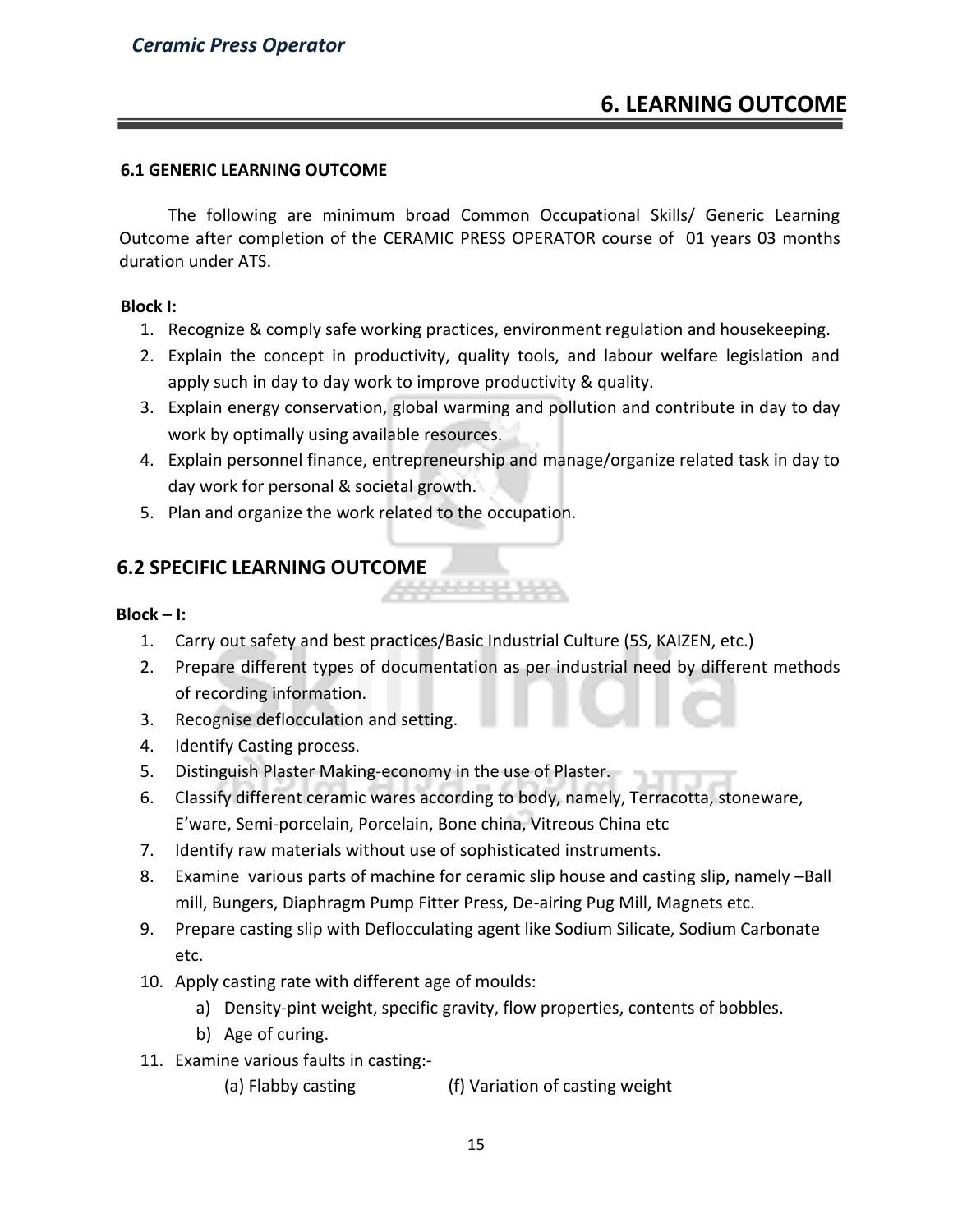# **6. LEARNING OUTCOME**

#### **6.1 GENERIC LEARNING OUTCOME**

The following are minimum broad Common Occupational Skills/ Generic Learning Outcome after completion of the CERAMIC PRESS OPERATOR course of 01 years 03 months duration under ATS.

#### **Block I:**

- 1. Recognize & comply safe working practices, environment regulation and housekeeping.
- 2. Explain the concept in productivity, quality tools, and labour welfare legislation and apply such in day to day work to improve productivity & quality.
- 3. Explain energy conservation, global warming and pollution and contribute in day to day work by optimally using available resources.
- 4. Explain personnel finance, entrepreneurship and manage/organize related task in day to day work for personal & societal growth.
- 5. Plan and organize the work related to the occupation.

# **6.2 SPECIFIC LEARNING OUTCOME**

#### **Block – I:**

- 1. Carry out safety and best practices/Basic Industrial Culture (5S, KAIZEN, etc.)
- 2. Prepare different types of documentation as per industrial need by different methods of recording information.
- 3. Recognise deflocculation and setting.
- 4. Identify Casting process.
- 5. Distinguish Plaster Making-economy in the use of Plaster.
- 6. Classify different ceramic wares according to body, namely, Terracotta, stoneware, E'ware, Semi-porcelain, Porcelain, Bone china, Vitreous China etc
- 7. Identify raw materials without use of sophisticated instruments.
- 8. Examine various parts of machine for ceramic slip house and casting slip, namely –Ball mill, Bungers, Diaphragm Pump Fitter Press, De-airing Pug Mill, Magnets etc.
- 9. Prepare casting slip with Deflocculating agent like Sodium Silicate, Sodium Carbonate etc.
- 10. Apply casting rate with different age of moulds:
	- a) Density-pint weight, specific gravity, flow properties, contents of bobbles.
	- b) Age of curing.
- 11. Examine various faults in casting:-
	- (a) Flabby casting (f) Variation of casting weight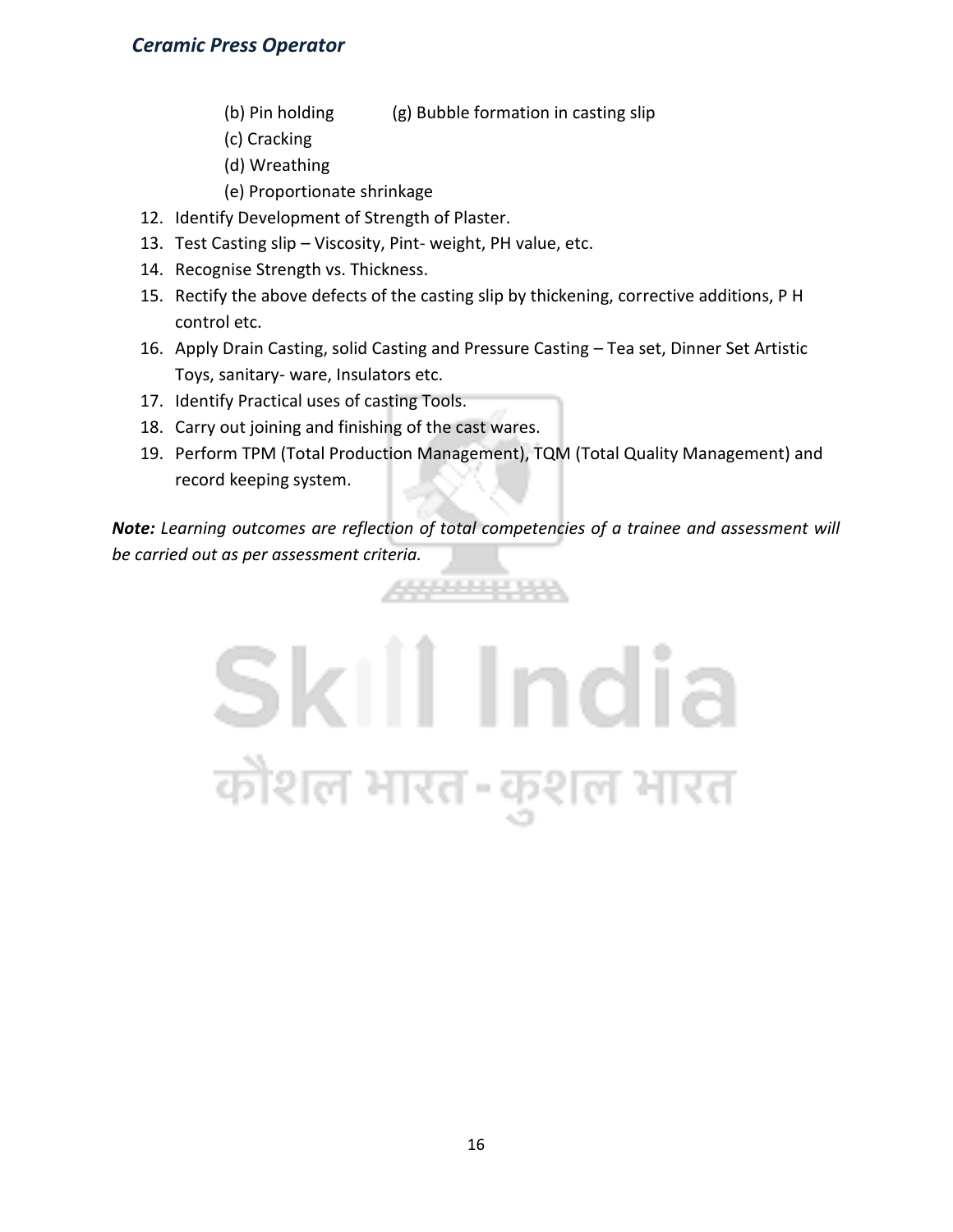- (b) Pin holding (g) Bubble formation in casting slip
- (c) Cracking
- (d) Wreathing
- (e) Proportionate shrinkage
- 12. Identify Development of Strength of Plaster.
- 13. Test Casting slip Viscosity, Pint- weight, PH value, etc.
- 14. Recognise Strength vs. Thickness.
- 15. Rectify the above defects of the casting slip by thickening, corrective additions, P H control etc.
- 16. Apply Drain Casting, solid Casting and Pressure Casting Tea set, Dinner Set Artistic Toys, sanitary- ware, Insulators etc.
- 17. Identify Practical uses of casting Tools.
- 18. Carry out joining and finishing of the cast wares.
- 19. Perform TPM (Total Production Management), TQM (Total Quality Management) and record keeping system.

*Note: Learning outcomes are reflection of total competencies of a trainee and assessment will be carried out as per assessment criteria.*

4444444444

# Skill India कौशल भारत-कुशल भारत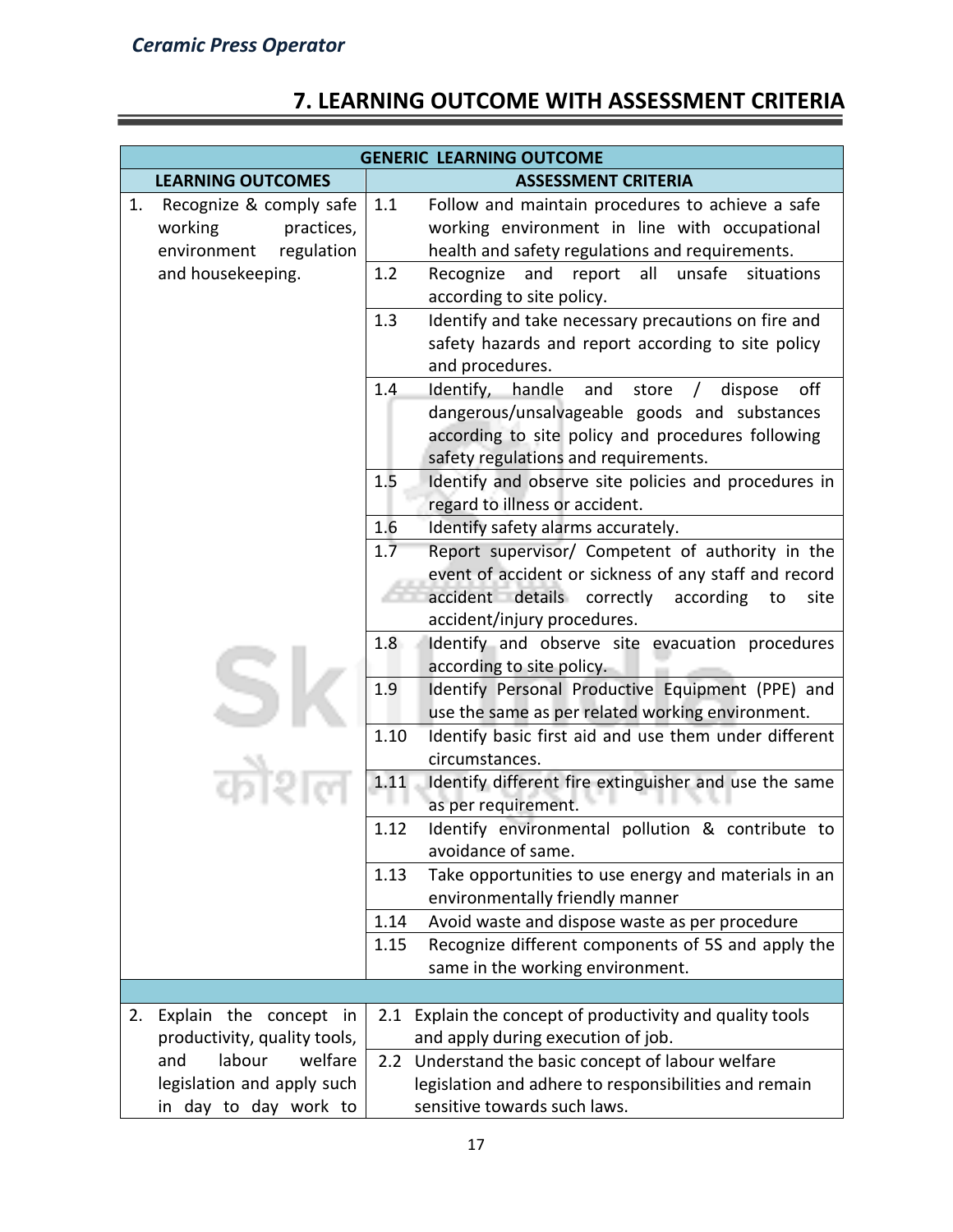# **7. LEARNING OUTCOME WITH ASSESSMENT CRITERIA**

| <b>GENERIC LEARNING OUTCOME</b>                                                     |                                                                                                                                                                                                                   |  |
|-------------------------------------------------------------------------------------|-------------------------------------------------------------------------------------------------------------------------------------------------------------------------------------------------------------------|--|
| <b>LEARNING OUTCOMES</b>                                                            | <b>ASSESSMENT CRITERIA</b>                                                                                                                                                                                        |  |
| Recognize & comply safe<br>1.<br>working<br>practices,<br>environment<br>regulation | 1.1<br>Follow and maintain procedures to achieve a safe<br>working environment in line with occupational<br>health and safety regulations and requirements.                                                       |  |
| and housekeeping.                                                                   | 1.2<br>Recognize<br>and<br>all<br>unsafe<br>situations<br>report<br>according to site policy.                                                                                                                     |  |
|                                                                                     | 1.3<br>Identify and take necessary precautions on fire and<br>safety hazards and report according to site policy<br>and procedures.                                                                               |  |
|                                                                                     | 1.4<br>Identify,<br>handle and store<br>off<br>dispose<br>$\sqrt{2}$<br>dangerous/unsalvageable goods and substances<br>according to site policy and procedures following<br>safety regulations and requirements. |  |
|                                                                                     | Identify and observe site policies and procedures in<br>1.5<br>regard to illness or accident.                                                                                                                     |  |
|                                                                                     | 1.6<br>Identify safety alarms accurately.                                                                                                                                                                         |  |
|                                                                                     | 1.7<br>Report supervisor/ Competent of authority in the<br>event of accident or sickness of any staff and record<br>accident details correctly according<br>site<br>to<br>accident/injury procedures.             |  |
|                                                                                     | 1.8<br>Identify and observe site evacuation procedures<br>according to site policy.                                                                                                                               |  |
|                                                                                     | 1.9<br>Identify Personal Productive Equipment (PPE) and<br>use the same as per related working environment.                                                                                                       |  |
|                                                                                     | 1.10<br>Identify basic first aid and use them under different<br>circumstances.                                                                                                                                   |  |
|                                                                                     | 1.11<br>Identify different fire extinguisher and use the same<br>as per requirement.                                                                                                                              |  |
|                                                                                     | 1.12<br>Identify environmental pollution & contribute to<br>avoidance of same.                                                                                                                                    |  |
|                                                                                     | Take opportunities to use energy and materials in an<br>1.13<br>environmentally friendly manner                                                                                                                   |  |
|                                                                                     | 1.14<br>Avoid waste and dispose waste as per procedure                                                                                                                                                            |  |
|                                                                                     | 1.15<br>Recognize different components of 5S and apply the<br>same in the working environment.                                                                                                                    |  |
|                                                                                     |                                                                                                                                                                                                                   |  |
| Explain the concept in<br>2.<br>productivity, quality tools,                        | 2.1 Explain the concept of productivity and quality tools<br>and apply during execution of job.                                                                                                                   |  |
| labour<br>welfare<br>and                                                            | 2.2 Understand the basic concept of labour welfare                                                                                                                                                                |  |
| legislation and apply such                                                          | legislation and adhere to responsibilities and remain                                                                                                                                                             |  |
| in day to day work to                                                               | sensitive towards such laws.                                                                                                                                                                                      |  |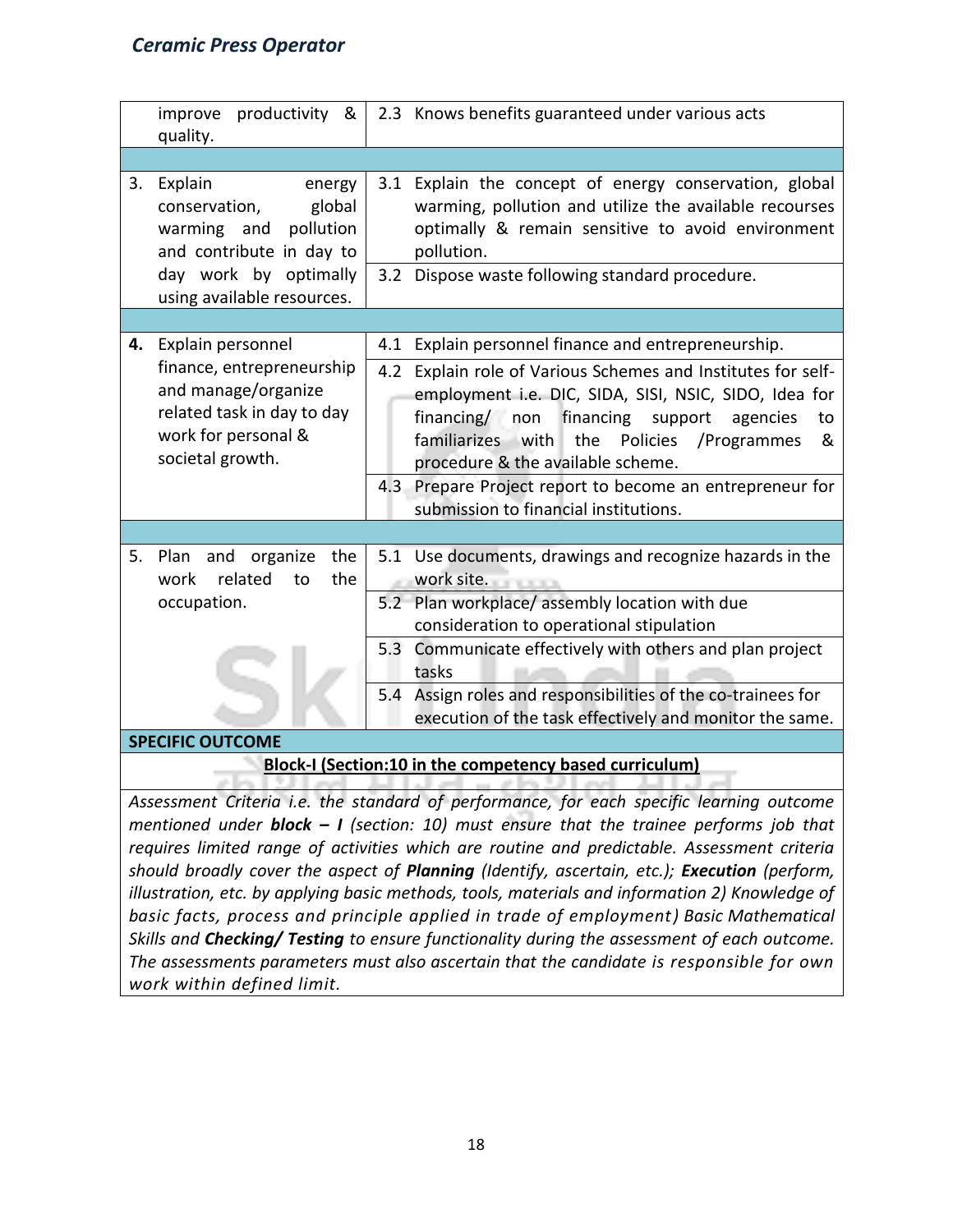| productivity &<br>improve<br>quality.                                                                                                                                                                                                                                                                                                                                                                                                                             | 2.3 Knows benefits guaranteed under various acts                                                                                                                                                                                                                                                                                                                                                                                            |  |  |
|-------------------------------------------------------------------------------------------------------------------------------------------------------------------------------------------------------------------------------------------------------------------------------------------------------------------------------------------------------------------------------------------------------------------------------------------------------------------|---------------------------------------------------------------------------------------------------------------------------------------------------------------------------------------------------------------------------------------------------------------------------------------------------------------------------------------------------------------------------------------------------------------------------------------------|--|--|
| Explain<br>3.<br>energy<br>global<br>conservation,<br>warming and<br>pollution<br>and contribute in day to<br>day work by optimally<br>using available resources.                                                                                                                                                                                                                                                                                                 | 3.1 Explain the concept of energy conservation, global<br>warming, pollution and utilize the available recourses<br>optimally & remain sensitive to avoid environment<br>pollution.<br>3.2 Dispose waste following standard procedure.                                                                                                                                                                                                      |  |  |
| Explain personnel<br>4.<br>finance, entrepreneurship<br>and manage/organize<br>related task in day to day<br>work for personal &<br>societal growth.                                                                                                                                                                                                                                                                                                              | 4.1 Explain personnel finance and entrepreneurship.<br>4.2 Explain role of Various Schemes and Institutes for self-<br>employment i.e. DIC, SIDA, SISI, NSIC, SIDO, Idea for<br>financing/ non<br>financing support<br>agencies<br>to<br>familiarizes with<br>the<br>Policies<br>/Programmes<br>&<br>procedure & the available scheme.<br>4.3 Prepare Project report to become an entrepreneur for<br>submission to financial institutions. |  |  |
|                                                                                                                                                                                                                                                                                                                                                                                                                                                                   |                                                                                                                                                                                                                                                                                                                                                                                                                                             |  |  |
| and organize<br>the<br>5.<br>Plan<br>related<br>the<br>work<br>to<br>occupation.                                                                                                                                                                                                                                                                                                                                                                                  | 5.1 Use documents, drawings and recognize hazards in the<br>work site.<br>5.2 Plan workplace/ assembly location with due                                                                                                                                                                                                                                                                                                                    |  |  |
|                                                                                                                                                                                                                                                                                                                                                                                                                                                                   | consideration to operational stipulation<br>5.3 Communicate effectively with others and plan project<br>tasks<br>5.4 Assign roles and responsibilities of the co-trainees for<br>execution of the task effectively and monitor the same.                                                                                                                                                                                                    |  |  |
| <b>SPECIFIC OUTCOME</b>                                                                                                                                                                                                                                                                                                                                                                                                                                           |                                                                                                                                                                                                                                                                                                                                                                                                                                             |  |  |
| Block-I (Section:10 in the competency based curriculum)<br>Assessment Criteria i.e. the standard of performance, for each specific learning outcome<br>mentioned under <b>block - I</b> (section: 10) must ensure that the trainee performs job that<br>requires limited range of activities which are routine and predictable. Assessment criteria<br>should broadly cover the aspect of <b>Planning</b> (Identify, ascertain, etc.): <b>Execution</b> (perform, |                                                                                                                                                                                                                                                                                                                                                                                                                                             |  |  |

*should broadly cover the aspect of Planning (Identify, ascertain, etc.); Execution (perform, illustration, etc. by applying basic methods, tools, materials and information 2) Knowledge of basic facts, process and principle applied in trade of employment) Basic Mathematical Skills and Checking/ Testing to ensure functionality during the assessment of each outcome. The assessments parameters must also ascertain that the candidate is responsible for own work within defined limit.*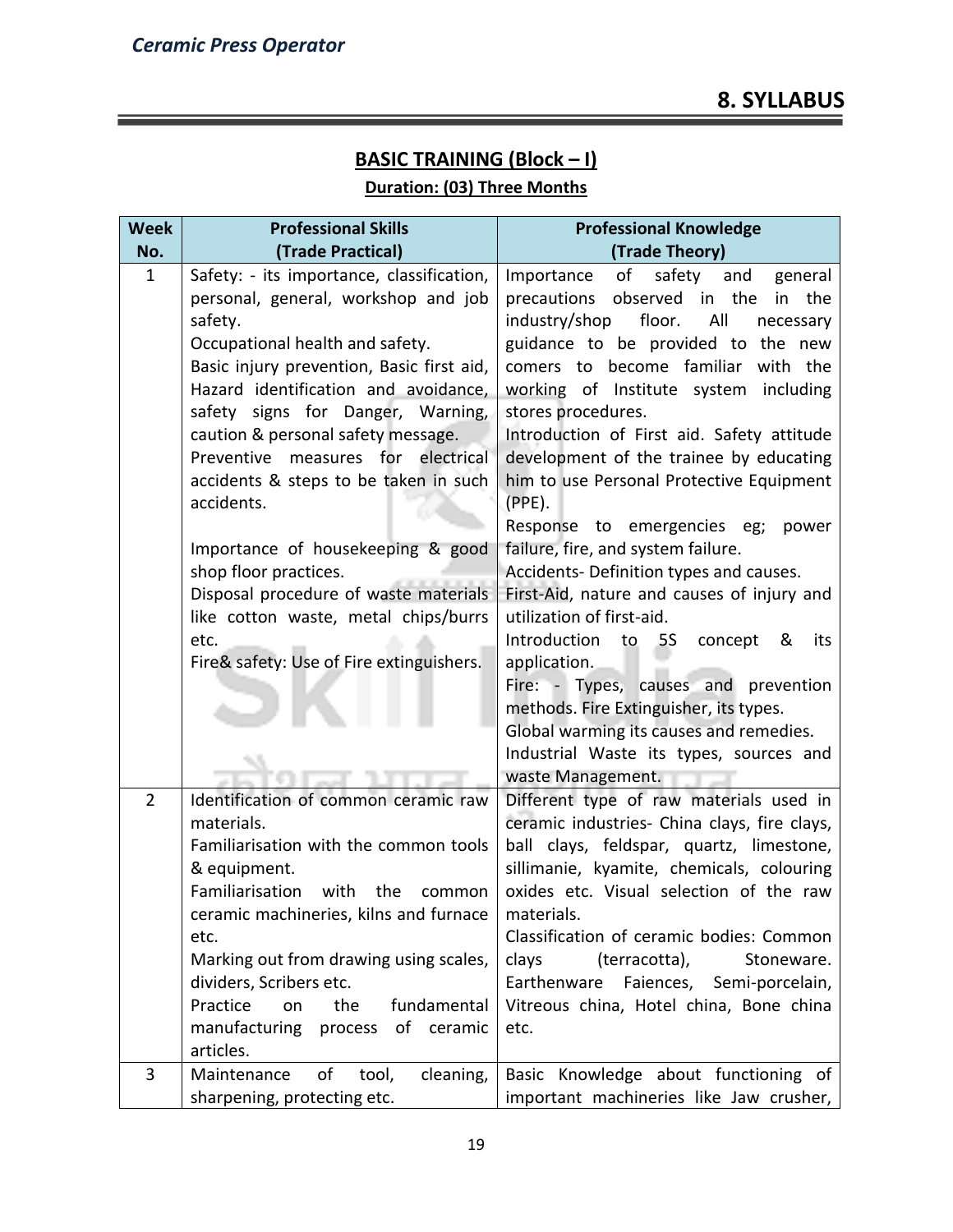# **BASIC TRAINING (Block – I)**

# **Duration: (03) Three Months**

| <b>Week</b>    | <b>Professional Skills</b>                                                                                                                                                                                                                                                                                                                                                                                                       | <b>Professional Knowledge</b>                                                                                                                                                                                                                                                                                                                                                                                                                                                                                   |
|----------------|----------------------------------------------------------------------------------------------------------------------------------------------------------------------------------------------------------------------------------------------------------------------------------------------------------------------------------------------------------------------------------------------------------------------------------|-----------------------------------------------------------------------------------------------------------------------------------------------------------------------------------------------------------------------------------------------------------------------------------------------------------------------------------------------------------------------------------------------------------------------------------------------------------------------------------------------------------------|
| No.            | (Trade Practical)                                                                                                                                                                                                                                                                                                                                                                                                                | (Trade Theory)                                                                                                                                                                                                                                                                                                                                                                                                                                                                                                  |
| $\mathbf{1}$   | Safety: - its importance, classification,<br>personal, general, workshop and job<br>safety.<br>Occupational health and safety.<br>Basic injury prevention, Basic first aid,<br>Hazard identification and avoidance,<br>safety signs for Danger, Warning,<br>caution & personal safety message.<br>Preventive measures for electrical<br>accidents & steps to be taken in such<br>accidents.<br>Importance of housekeeping & good | of<br>Importance<br>safety and<br>general<br>precautions observed in the<br>in the<br>industry/shop<br>floor.<br>All<br>necessary<br>guidance to be provided to the new<br>comers to become familiar with the<br>working of Institute system<br>including<br>stores procedures.<br>Introduction of First aid. Safety attitude<br>development of the trainee by educating<br>him to use Personal Protective Equipment<br>$(PPE)$ .<br>Response to emergencies eg;<br>power<br>failure, fire, and system failure. |
|                | shop floor practices.<br>Disposal procedure of waste materials<br>like cotton waste, metal chips/burrs<br>etc.<br>Fire& safety: Use of Fire extinguishers.                                                                                                                                                                                                                                                                       | Accidents- Definition types and causes.<br>First-Aid, nature and causes of injury and<br>utilization of first-aid.<br>Introduction<br>to 5S<br>concept<br>&<br>its<br>application.<br>Fire: - Types, causes and prevention<br>methods. Fire Extinguisher, its types.<br>Global warming its causes and remedies.<br>Industrial Waste its types, sources and<br>waste Management.                                                                                                                                 |
| $\overline{2}$ | Identification of common ceramic raw<br>materials.<br>Familiarisation with the common tools<br>& equipment.<br>Familiarisation<br>with<br>the<br>common<br>ceramic machineries, kilns and furnace<br>etc.<br>Marking out from drawing using scales,<br>dividers, Scribers etc.<br>Practice<br>fundamental<br>on<br>the<br>manufacturing<br>process of ceramic                                                                    | Different type of raw materials used in<br>ceramic industries- China clays, fire clays,<br>ball clays, feldspar, quartz, limestone,<br>sillimanie, kyamite, chemicals, colouring<br>oxides etc. Visual selection of the raw<br>materials.<br>Classification of ceramic bodies: Common<br>clays<br>(terracotta),<br>Stoneware.<br>Earthenware Faiences,<br>Semi-porcelain,<br>Vitreous china, Hotel china, Bone china<br>etc.                                                                                    |
|                | articles.                                                                                                                                                                                                                                                                                                                                                                                                                        |                                                                                                                                                                                                                                                                                                                                                                                                                                                                                                                 |
| 3              | of<br>cleaning,<br>Maintenance<br>tool,<br>sharpening, protecting etc.                                                                                                                                                                                                                                                                                                                                                           | Basic Knowledge about functioning of<br>important machineries like Jaw crusher,                                                                                                                                                                                                                                                                                                                                                                                                                                 |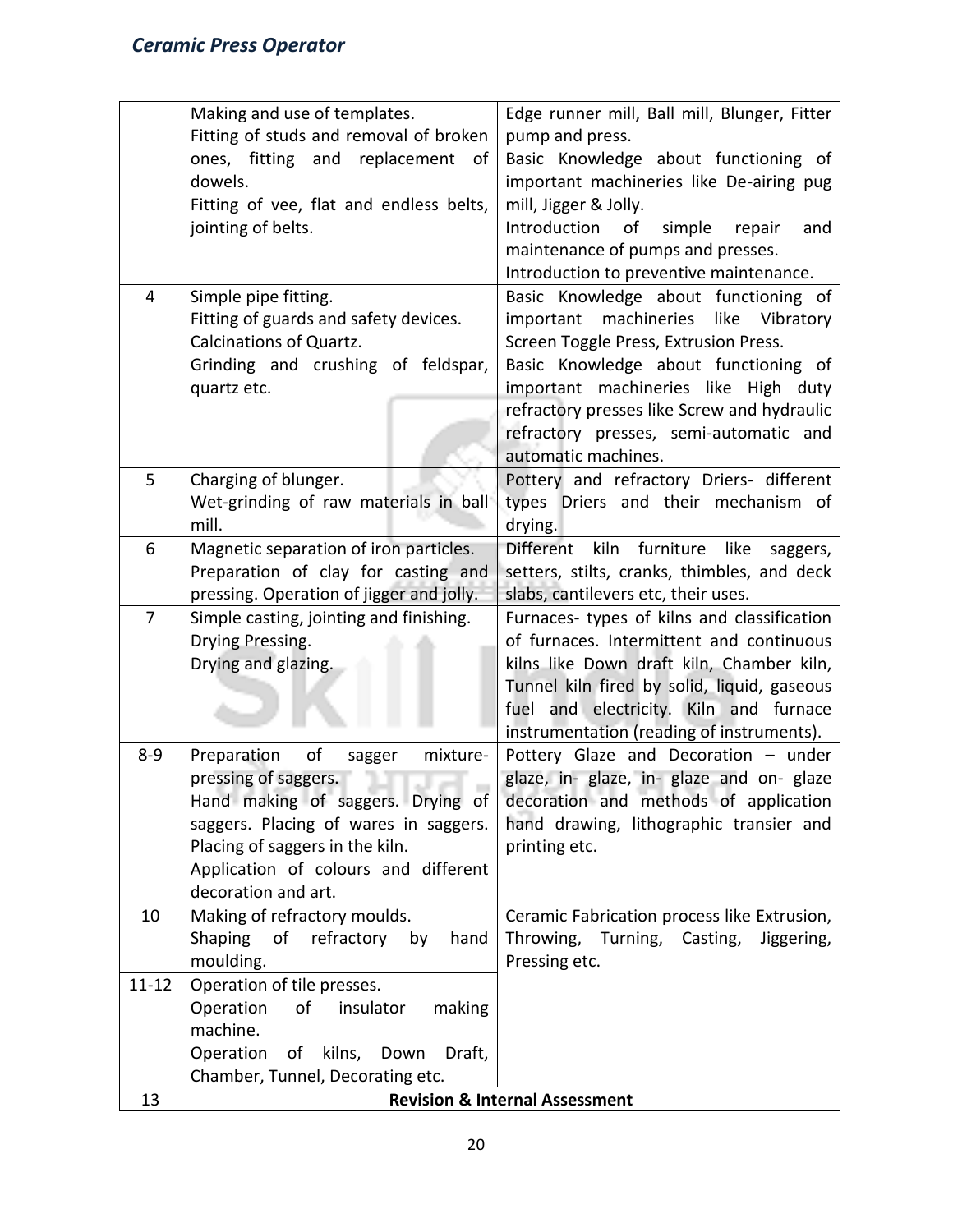|                | Making and use of templates.                                               | Edge runner mill, Ball mill, Blunger, Fitter                                     |  |  |  |  |  |  |
|----------------|----------------------------------------------------------------------------|----------------------------------------------------------------------------------|--|--|--|--|--|--|
|                | Fitting of studs and removal of broken                                     | pump and press.                                                                  |  |  |  |  |  |  |
|                | ones, fitting and replacement<br>of                                        | Basic Knowledge about functioning of                                             |  |  |  |  |  |  |
|                | dowels.                                                                    | important machineries like De-airing pug                                         |  |  |  |  |  |  |
|                | Fitting of vee, flat and endless belts,                                    | mill, Jigger & Jolly.                                                            |  |  |  |  |  |  |
|                | jointing of belts.                                                         | Introduction<br>of<br>simple<br>repair<br>and                                    |  |  |  |  |  |  |
|                |                                                                            | maintenance of pumps and presses.                                                |  |  |  |  |  |  |
|                |                                                                            | Introduction to preventive maintenance.                                          |  |  |  |  |  |  |
| 4              | Simple pipe fitting.                                                       | Basic Knowledge about functioning of                                             |  |  |  |  |  |  |
|                | Fitting of guards and safety devices.                                      | important<br>machineries like Vibratory                                          |  |  |  |  |  |  |
|                | <b>Calcinations of Quartz.</b>                                             | Screen Toggle Press, Extrusion Press.                                            |  |  |  |  |  |  |
|                | Grinding and crushing of feldspar,                                         | Basic Knowledge about functioning of                                             |  |  |  |  |  |  |
|                | quartz etc.                                                                | important machineries like High duty                                             |  |  |  |  |  |  |
|                |                                                                            | refractory presses like Screw and hydraulic                                      |  |  |  |  |  |  |
|                |                                                                            | refractory presses, semi-automatic and                                           |  |  |  |  |  |  |
|                |                                                                            | automatic machines.                                                              |  |  |  |  |  |  |
| 5              | Charging of blunger.                                                       | Pottery and refractory Driers- different                                         |  |  |  |  |  |  |
|                | Wet-grinding of raw materials in ball                                      | types Driers and their mechanism of                                              |  |  |  |  |  |  |
|                | mill.                                                                      | drying.                                                                          |  |  |  |  |  |  |
| 6              | Magnetic separation of iron particles.                                     | Different<br>kiln<br>furniture<br>like<br>saggers,                               |  |  |  |  |  |  |
|                | Preparation of clay for casting and                                        | setters, stilts, cranks, thimbles, and deck                                      |  |  |  |  |  |  |
|                | pressing. Operation of jigger and jolly.                                   | slabs, cantilevers etc, their uses.                                              |  |  |  |  |  |  |
| $\overline{7}$ | Simple casting, jointing and finishing.                                    | Furnaces- types of kilns and classification                                      |  |  |  |  |  |  |
|                | Drying Pressing.                                                           | of furnaces. Intermittent and continuous                                         |  |  |  |  |  |  |
|                | Drying and glazing.                                                        | kilns like Down draft kiln, Chamber kiln,                                        |  |  |  |  |  |  |
|                |                                                                            | Tunnel kiln fired by solid, liquid, gaseous                                      |  |  |  |  |  |  |
|                |                                                                            | fuel and electricity. Kiln and furnace                                           |  |  |  |  |  |  |
|                |                                                                            | instrumentation (reading of instruments).                                        |  |  |  |  |  |  |
| $8 - 9$        | of<br>mixture-<br>Preparation<br>sagger                                    | Pottery Glaze and Decoration - under                                             |  |  |  |  |  |  |
|                | pressing of saggers.                                                       | glaze, in- glaze, in- glaze and on- glaze                                        |  |  |  |  |  |  |
|                | Hand making of saggers. Drying of<br>saggers. Placing of wares in saggers. | decoration and methods of application<br>hand drawing, lithographic transier and |  |  |  |  |  |  |
|                | Placing of saggers in the kiln.                                            | printing etc.                                                                    |  |  |  |  |  |  |
|                | Application of colours and different                                       |                                                                                  |  |  |  |  |  |  |
|                | decoration and art.                                                        |                                                                                  |  |  |  |  |  |  |
| 10             | Making of refractory moulds.                                               | Ceramic Fabrication process like Extrusion,                                      |  |  |  |  |  |  |
|                | Shaping<br>of<br>refractory<br>hand<br>by                                  | Throwing, Turning, Casting,<br>Jiggering,                                        |  |  |  |  |  |  |
|                | moulding.                                                                  | Pressing etc.                                                                    |  |  |  |  |  |  |
| $11 - 12$      | Operation of tile presses.                                                 |                                                                                  |  |  |  |  |  |  |
|                | of<br>insulator<br>Operation<br>making                                     |                                                                                  |  |  |  |  |  |  |
|                | machine.                                                                   |                                                                                  |  |  |  |  |  |  |
|                | Operation<br>kilns, Down<br>Draft,<br>of                                   |                                                                                  |  |  |  |  |  |  |
|                | Chamber, Tunnel, Decorating etc.                                           |                                                                                  |  |  |  |  |  |  |
| 13             |                                                                            | <b>Revision &amp; Internal Assessment</b>                                        |  |  |  |  |  |  |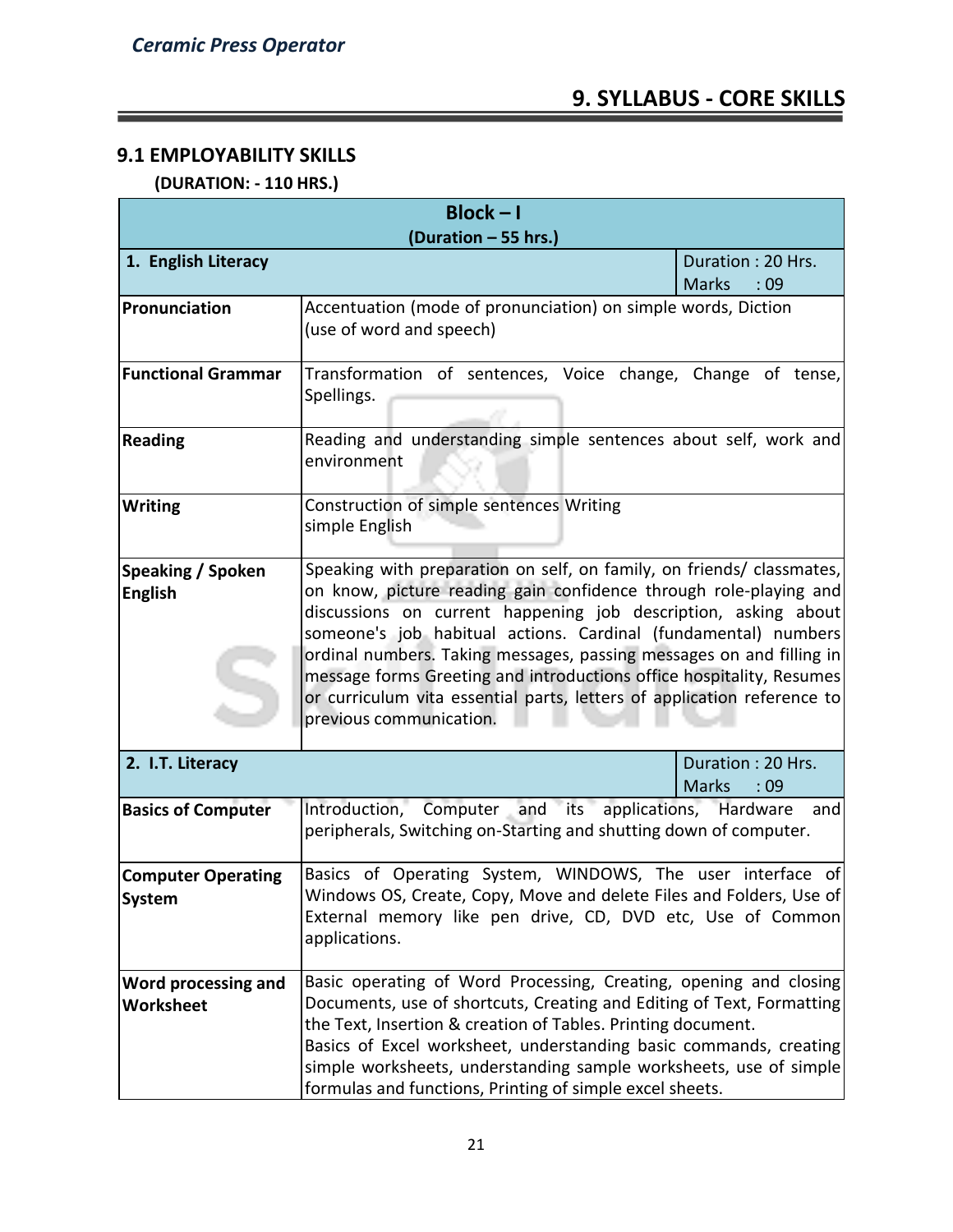# **9.1 EMPLOYABILITY SKILLS**

 **(DURATION: - 110 HRS.)**

| $Block - I$<br>(Duration - 55 hrs.)                                                                                                                            |                                                                                                                                                                                                                                                                                                                                                                                                                                                                                                                                      |                                          |  |  |  |  |  |  |
|----------------------------------------------------------------------------------------------------------------------------------------------------------------|--------------------------------------------------------------------------------------------------------------------------------------------------------------------------------------------------------------------------------------------------------------------------------------------------------------------------------------------------------------------------------------------------------------------------------------------------------------------------------------------------------------------------------------|------------------------------------------|--|--|--|--|--|--|
| 1. English Literacy                                                                                                                                            |                                                                                                                                                                                                                                                                                                                                                                                                                                                                                                                                      | Duration: 20 Hrs.<br><b>Marks</b><br>:09 |  |  |  |  |  |  |
| Pronunciation                                                                                                                                                  | Accentuation (mode of pronunciation) on simple words, Diction<br>(use of word and speech)                                                                                                                                                                                                                                                                                                                                                                                                                                            |                                          |  |  |  |  |  |  |
| <b>Functional Grammar</b>                                                                                                                                      | Transformation of sentences, Voice change, Change of tense,<br>Spellings.                                                                                                                                                                                                                                                                                                                                                                                                                                                            |                                          |  |  |  |  |  |  |
| <b>Reading</b>                                                                                                                                                 | Reading and understanding simple sentences about self, work and<br>environment                                                                                                                                                                                                                                                                                                                                                                                                                                                       |                                          |  |  |  |  |  |  |
| <b>Writing</b>                                                                                                                                                 | Construction of simple sentences Writing<br>simple English                                                                                                                                                                                                                                                                                                                                                                                                                                                                           |                                          |  |  |  |  |  |  |
| Speaking / Spoken<br><b>English</b>                                                                                                                            | Speaking with preparation on self, on family, on friends/ classmates,<br>on know, picture reading gain confidence through role-playing and<br>discussions on current happening job description, asking about<br>someone's job habitual actions. Cardinal (fundamental) numbers<br>ordinal numbers. Taking messages, passing messages on and filling in<br>message forms Greeting and introductions office hospitality, Resumes<br>or curriculum vita essential parts, letters of application reference to<br>previous communication. |                                          |  |  |  |  |  |  |
| 2. I.T. Literacy                                                                                                                                               |                                                                                                                                                                                                                                                                                                                                                                                                                                                                                                                                      | Duration: 20 Hrs.<br><b>Marks</b><br>:09 |  |  |  |  |  |  |
| Introduction, Computer and its applications, Hardware<br><b>Basics of Computer</b><br>and<br>peripherals, Switching on-Starting and shutting down of computer. |                                                                                                                                                                                                                                                                                                                                                                                                                                                                                                                                      |                                          |  |  |  |  |  |  |
| <b>Computer Operating</b><br><b>System</b>                                                                                                                     | Basics of Operating System, WINDOWS, The user interface of<br>Windows OS, Create, Copy, Move and delete Files and Folders, Use of<br>External memory like pen drive, CD, DVD etc, Use of Common<br>applications.                                                                                                                                                                                                                                                                                                                     |                                          |  |  |  |  |  |  |
| Word processing and<br>Worksheet                                                                                                                               | Basic operating of Word Processing, Creating, opening and closing<br>Documents, use of shortcuts, Creating and Editing of Text, Formatting<br>the Text, Insertion & creation of Tables. Printing document.<br>Basics of Excel worksheet, understanding basic commands, creating<br>simple worksheets, understanding sample worksheets, use of simple<br>formulas and functions, Printing of simple excel sheets.                                                                                                                     |                                          |  |  |  |  |  |  |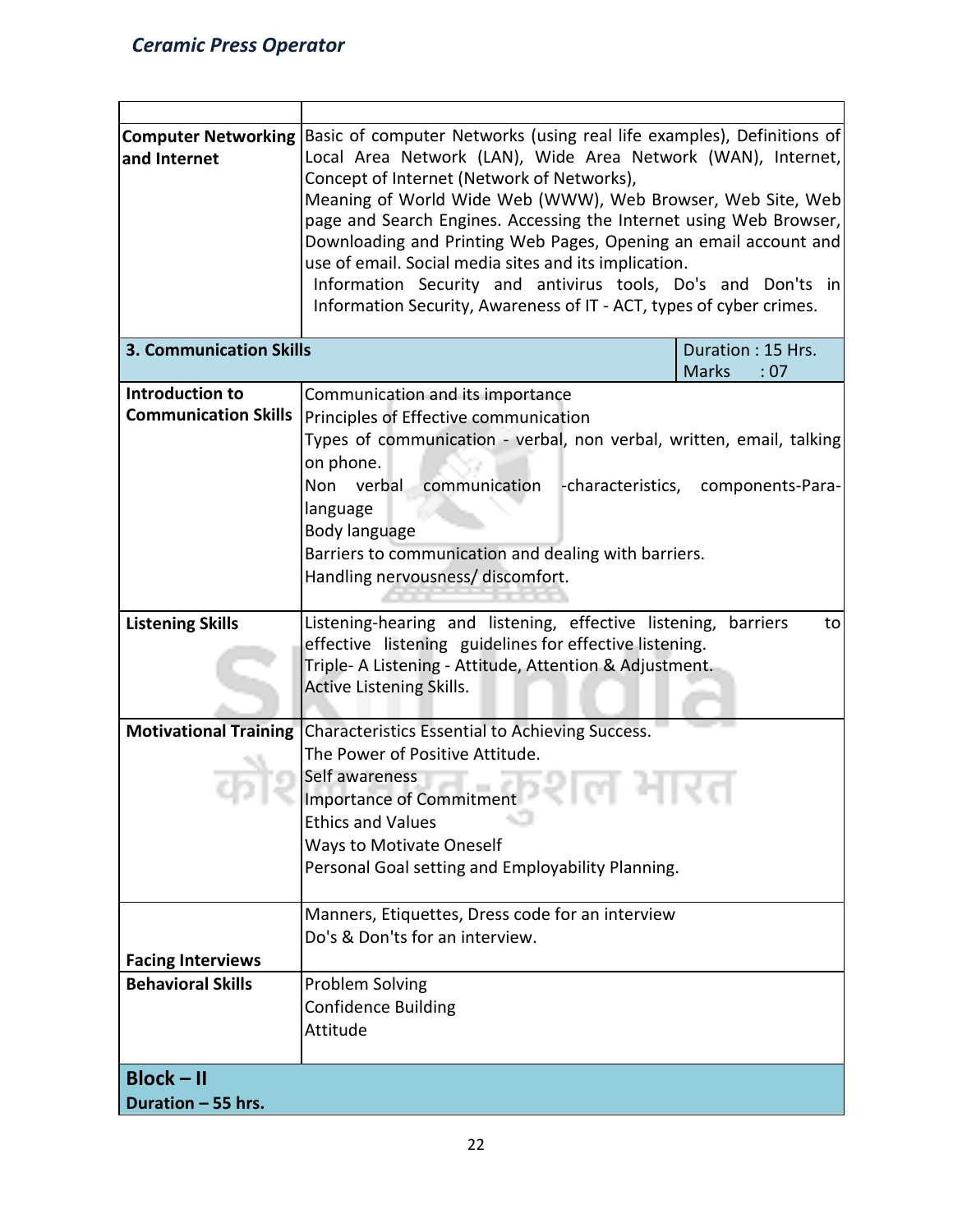| <b>Computer Networking</b><br>and Internet           | Basic of computer Networks (using real life examples), Definitions of<br>Local Area Network (LAN), Wide Area Network (WAN), Internet,<br>Concept of Internet (Network of Networks),<br>Meaning of World Wide Web (WWW), Web Browser, Web Site, Web<br>page and Search Engines. Accessing the Internet using Web Browser,<br>Downloading and Printing Web Pages, Opening an email account and<br>use of email. Social media sites and its implication.<br>Information Security and antivirus tools, Do's and Don'ts in<br>Information Security, Awareness of IT - ACT, types of cyber crimes. |                                          |  |  |  |  |  |  |
|------------------------------------------------------|----------------------------------------------------------------------------------------------------------------------------------------------------------------------------------------------------------------------------------------------------------------------------------------------------------------------------------------------------------------------------------------------------------------------------------------------------------------------------------------------------------------------------------------------------------------------------------------------|------------------------------------------|--|--|--|--|--|--|
| <b>3. Communication Skills</b>                       |                                                                                                                                                                                                                                                                                                                                                                                                                                                                                                                                                                                              | Duration: 15 Hrs.<br><b>Marks</b><br>:07 |  |  |  |  |  |  |
| Introduction to<br><b>Communication Skills</b>       | Communication and its importance<br>Principles of Effective communication<br>Types of communication - verbal, non verbal, written, email, talking<br>on phone.<br>communication<br>Non verbal<br>-characteristics,<br>language<br>Body language<br>Barriers to communication and dealing with barriers.<br>Handling nervousness/ discomfort.                                                                                                                                                                                                                                                 | components-Para-                         |  |  |  |  |  |  |
| <b>Listening Skills</b>                              | Listening-hearing and listening, effective listening,<br>effective listening guidelines for effective listening.<br>Triple- A Listening - Attitude, Attention & Adjustment.<br><b>Active Listening Skills.</b>                                                                                                                                                                                                                                                                                                                                                                               | barriers<br>to                           |  |  |  |  |  |  |
| <b>Motivational Training</b>                         | Characteristics Essential to Achieving Success.<br>The Power of Positive Attitude.<br>Self awareness<br><b>Importance of Commitment</b><br><b>Ethics and Values</b><br><b>Ways to Motivate Oneself</b><br>Personal Goal setting and Employability Planning.                                                                                                                                                                                                                                                                                                                                  |                                          |  |  |  |  |  |  |
| <b>Facing Interviews</b><br><b>Behavioral Skills</b> | Manners, Etiquettes, Dress code for an interview<br>Do's & Don'ts for an interview.<br>Problem Solving<br><b>Confidence Building</b><br>Attitude                                                                                                                                                                                                                                                                                                                                                                                                                                             |                                          |  |  |  |  |  |  |
| $Block - II$<br>Duration - 55 hrs.                   |                                                                                                                                                                                                                                                                                                                                                                                                                                                                                                                                                                                              |                                          |  |  |  |  |  |  |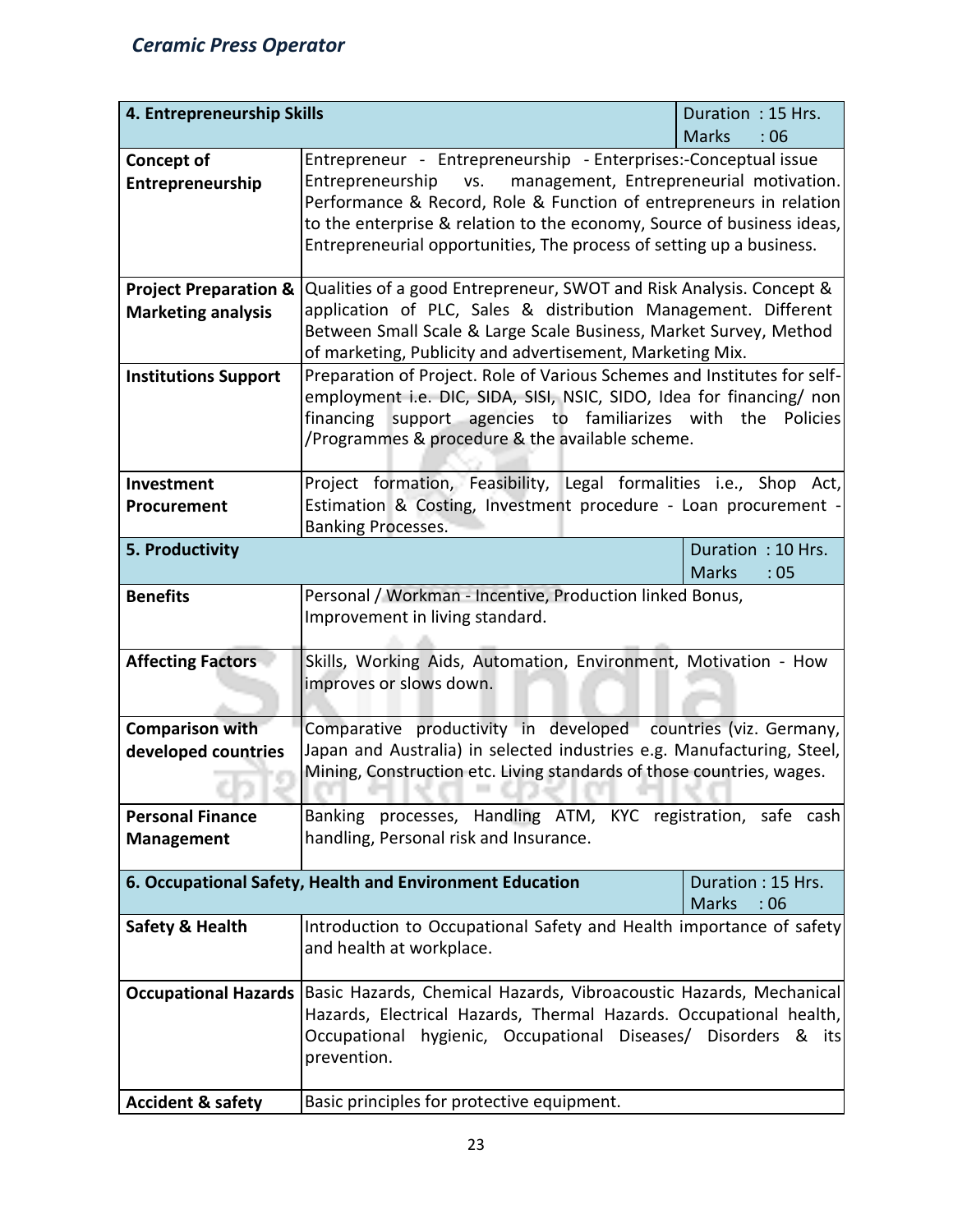| 4. Entrepreneurship Skills       | Duration: 15 Hrs.                                                        |                                                                     |  |  |  |  |  |  |  |
|----------------------------------|--------------------------------------------------------------------------|---------------------------------------------------------------------|--|--|--|--|--|--|--|
|                                  |                                                                          | <b>Marks</b><br>: 06                                                |  |  |  |  |  |  |  |
| <b>Concept of</b>                | Entrepreneur - Entrepreneurship - Enterprises:-Conceptual issue          |                                                                     |  |  |  |  |  |  |  |
| Entrepreneurship                 | Entrepreneurship vs.<br>management, Entrepreneurial motivation.          |                                                                     |  |  |  |  |  |  |  |
|                                  | Performance & Record, Role & Function of entrepreneurs in relation       |                                                                     |  |  |  |  |  |  |  |
|                                  | to the enterprise & relation to the economy, Source of business ideas,   |                                                                     |  |  |  |  |  |  |  |
|                                  | Entrepreneurial opportunities, The process of setting up a business.     |                                                                     |  |  |  |  |  |  |  |
|                                  |                                                                          |                                                                     |  |  |  |  |  |  |  |
| <b>Project Preparation &amp;</b> |                                                                          | Qualities of a good Entrepreneur, SWOT and Risk Analysis. Concept & |  |  |  |  |  |  |  |
| <b>Marketing analysis</b>        | application of PLC, Sales & distribution Management. Different           |                                                                     |  |  |  |  |  |  |  |
|                                  | Between Small Scale & Large Scale Business, Market Survey, Method        |                                                                     |  |  |  |  |  |  |  |
|                                  | of marketing, Publicity and advertisement, Marketing Mix.                |                                                                     |  |  |  |  |  |  |  |
| <b>Institutions Support</b>      | Preparation of Project. Role of Various Schemes and Institutes for self- |                                                                     |  |  |  |  |  |  |  |
|                                  | employment i.e. DIC, SIDA, SISI, NSIC, SIDO, Idea for financing/ non     |                                                                     |  |  |  |  |  |  |  |
|                                  | financing support agencies to familiarizes with the                      | <b>Policies</b>                                                     |  |  |  |  |  |  |  |
|                                  | /Programmes & procedure & the available scheme.                          |                                                                     |  |  |  |  |  |  |  |
|                                  |                                                                          |                                                                     |  |  |  |  |  |  |  |
| Investment                       | Project formation, Feasibility, Legal formalities i.e., Shop Act,        |                                                                     |  |  |  |  |  |  |  |
|                                  | Estimation & Costing, Investment procedure - Loan procurement -          |                                                                     |  |  |  |  |  |  |  |
| Procurement                      |                                                                          |                                                                     |  |  |  |  |  |  |  |
|                                  | <b>Banking Processes.</b>                                                |                                                                     |  |  |  |  |  |  |  |
| 5. Productivity                  |                                                                          | Duration: 10 Hrs.                                                   |  |  |  |  |  |  |  |
|                                  |                                                                          | <b>Marks</b><br>:05                                                 |  |  |  |  |  |  |  |
| <b>Benefits</b>                  | Personal / Workman - Incentive, Production linked Bonus,                 |                                                                     |  |  |  |  |  |  |  |
|                                  | Improvement in living standard.                                          |                                                                     |  |  |  |  |  |  |  |
|                                  |                                                                          |                                                                     |  |  |  |  |  |  |  |
| <b>Affecting Factors</b>         | Skills, Working Aids, Automation, Environment, Motivation - How          |                                                                     |  |  |  |  |  |  |  |
|                                  | improves or slows down.                                                  |                                                                     |  |  |  |  |  |  |  |
|                                  |                                                                          |                                                                     |  |  |  |  |  |  |  |
| <b>Comparison with</b>           | Comparative productivity in developed countries (viz. Germany,           |                                                                     |  |  |  |  |  |  |  |
| developed countries              | Japan and Australia) in selected industries e.g. Manufacturing, Steel,   |                                                                     |  |  |  |  |  |  |  |
|                                  | Mining, Construction etc. Living standards of those countries, wages.    |                                                                     |  |  |  |  |  |  |  |
|                                  |                                                                          |                                                                     |  |  |  |  |  |  |  |
| <b>Personal Finance</b>          | Banking processes, Handling ATM, KYC registration, safe cash             |                                                                     |  |  |  |  |  |  |  |
|                                  |                                                                          |                                                                     |  |  |  |  |  |  |  |
| <b>Management</b>                | handling, Personal risk and Insurance.                                   |                                                                     |  |  |  |  |  |  |  |
|                                  | 6. Occupational Safety, Health and Environment Education                 | Duration: 15 Hrs.                                                   |  |  |  |  |  |  |  |
|                                  |                                                                          | <b>Marks</b><br>:06                                                 |  |  |  |  |  |  |  |
| <b>Safety &amp; Health</b>       | Introduction to Occupational Safety and Health importance of safety      |                                                                     |  |  |  |  |  |  |  |
|                                  | and health at workplace.                                                 |                                                                     |  |  |  |  |  |  |  |
|                                  |                                                                          |                                                                     |  |  |  |  |  |  |  |
|                                  |                                                                          |                                                                     |  |  |  |  |  |  |  |
| <b>Occupational Hazards</b>      | Basic Hazards, Chemical Hazards, Vibroacoustic Hazards, Mechanical       |                                                                     |  |  |  |  |  |  |  |
|                                  | Hazards, Electrical Hazards, Thermal Hazards. Occupational health,       |                                                                     |  |  |  |  |  |  |  |
|                                  | Occupational hygienic, Occupational Diseases/ Disorders & its            |                                                                     |  |  |  |  |  |  |  |
|                                  | prevention.                                                              |                                                                     |  |  |  |  |  |  |  |
|                                  |                                                                          |                                                                     |  |  |  |  |  |  |  |
| <b>Accident &amp; safety</b>     | Basic principles for protective equipment.                               |                                                                     |  |  |  |  |  |  |  |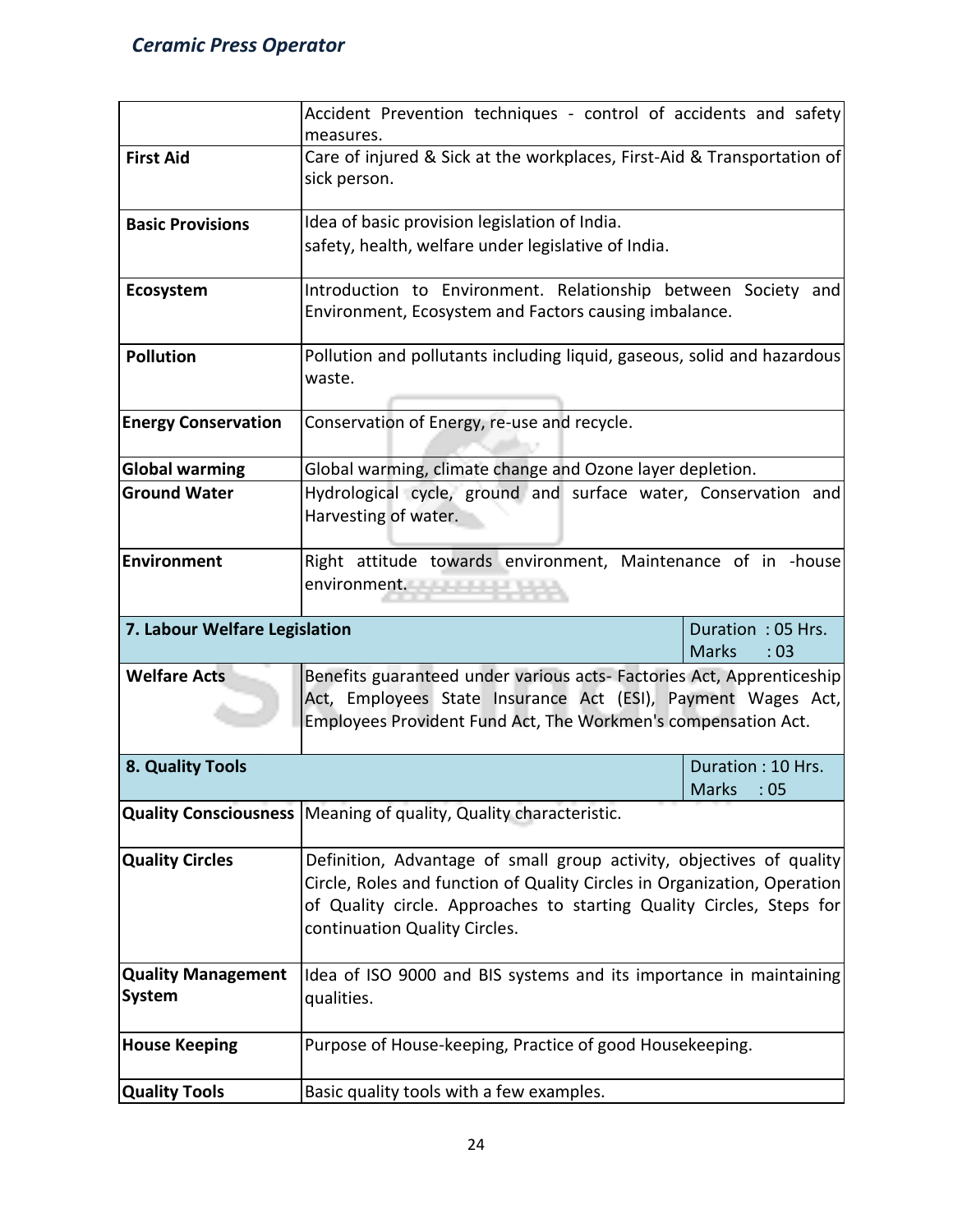|                                                                                             | Accident Prevention techniques - control of accidents and safety<br>measures.                                                         |                                          |  |  |  |  |  |  |
|---------------------------------------------------------------------------------------------|---------------------------------------------------------------------------------------------------------------------------------------|------------------------------------------|--|--|--|--|--|--|
| <b>First Aid</b>                                                                            | Care of injured & Sick at the workplaces, First-Aid & Transportation of<br>sick person.                                               |                                          |  |  |  |  |  |  |
|                                                                                             |                                                                                                                                       |                                          |  |  |  |  |  |  |
| <b>Basic Provisions</b>                                                                     | Idea of basic provision legislation of India.                                                                                         |                                          |  |  |  |  |  |  |
|                                                                                             | safety, health, welfare under legislative of India.                                                                                   |                                          |  |  |  |  |  |  |
| Ecosystem                                                                                   | Introduction to Environment. Relationship between Society and                                                                         |                                          |  |  |  |  |  |  |
|                                                                                             | Environment, Ecosystem and Factors causing imbalance.                                                                                 |                                          |  |  |  |  |  |  |
| <b>Pollution</b>                                                                            | Pollution and pollutants including liquid, gaseous, solid and hazardous<br>waste.                                                     |                                          |  |  |  |  |  |  |
|                                                                                             |                                                                                                                                       |                                          |  |  |  |  |  |  |
| <b>Energy Conservation</b>                                                                  | Conservation of Energy, re-use and recycle.                                                                                           |                                          |  |  |  |  |  |  |
| <b>Global warming</b>                                                                       | Global warming, climate change and Ozone layer depletion.                                                                             |                                          |  |  |  |  |  |  |
| <b>Ground Water</b>                                                                         | Hydrological cycle, ground and surface water, Conservation and<br>Harvesting of water.                                                |                                          |  |  |  |  |  |  |
| Environment<br>Right attitude towards environment, Maintenance of in -house<br>environment. |                                                                                                                                       |                                          |  |  |  |  |  |  |
| 7. Labour Welfare Legislation                                                               |                                                                                                                                       | Duration: 05 Hrs.<br><b>Marks</b><br>:03 |  |  |  |  |  |  |
| <b>Welfare Acts</b>                                                                         | Benefits guaranteed under various acts- Factories Act, Apprenticeship<br>Act, Employees State Insurance Act (ESI), Payment Wages Act, |                                          |  |  |  |  |  |  |
|                                                                                             | Employees Provident Fund Act, The Workmen's compensation Act.                                                                         |                                          |  |  |  |  |  |  |
| 8. Quality Tools                                                                            |                                                                                                                                       | Duration: 10 Hrs.                        |  |  |  |  |  |  |
|                                                                                             |                                                                                                                                       | <b>Marks</b><br>:05                      |  |  |  |  |  |  |
|                                                                                             | Quality Consciousness Meaning of quality, Quality characteristic.                                                                     |                                          |  |  |  |  |  |  |
|                                                                                             |                                                                                                                                       |                                          |  |  |  |  |  |  |
| <b>Quality Circles</b>                                                                      | Definition, Advantage of small group activity, objectives of quality                                                                  |                                          |  |  |  |  |  |  |
|                                                                                             | Circle, Roles and function of Quality Circles in Organization, Operation                                                              |                                          |  |  |  |  |  |  |
|                                                                                             | of Quality circle. Approaches to starting Quality Circles, Steps for<br>continuation Quality Circles.                                 |                                          |  |  |  |  |  |  |
|                                                                                             |                                                                                                                                       |                                          |  |  |  |  |  |  |
| <b>Quality Management</b><br><b>System</b>                                                  | Idea of ISO 9000 and BIS systems and its importance in maintaining<br>qualities.                                                      |                                          |  |  |  |  |  |  |
| <b>House Keeping</b>                                                                        | Purpose of House-keeping, Practice of good Housekeeping.                                                                              |                                          |  |  |  |  |  |  |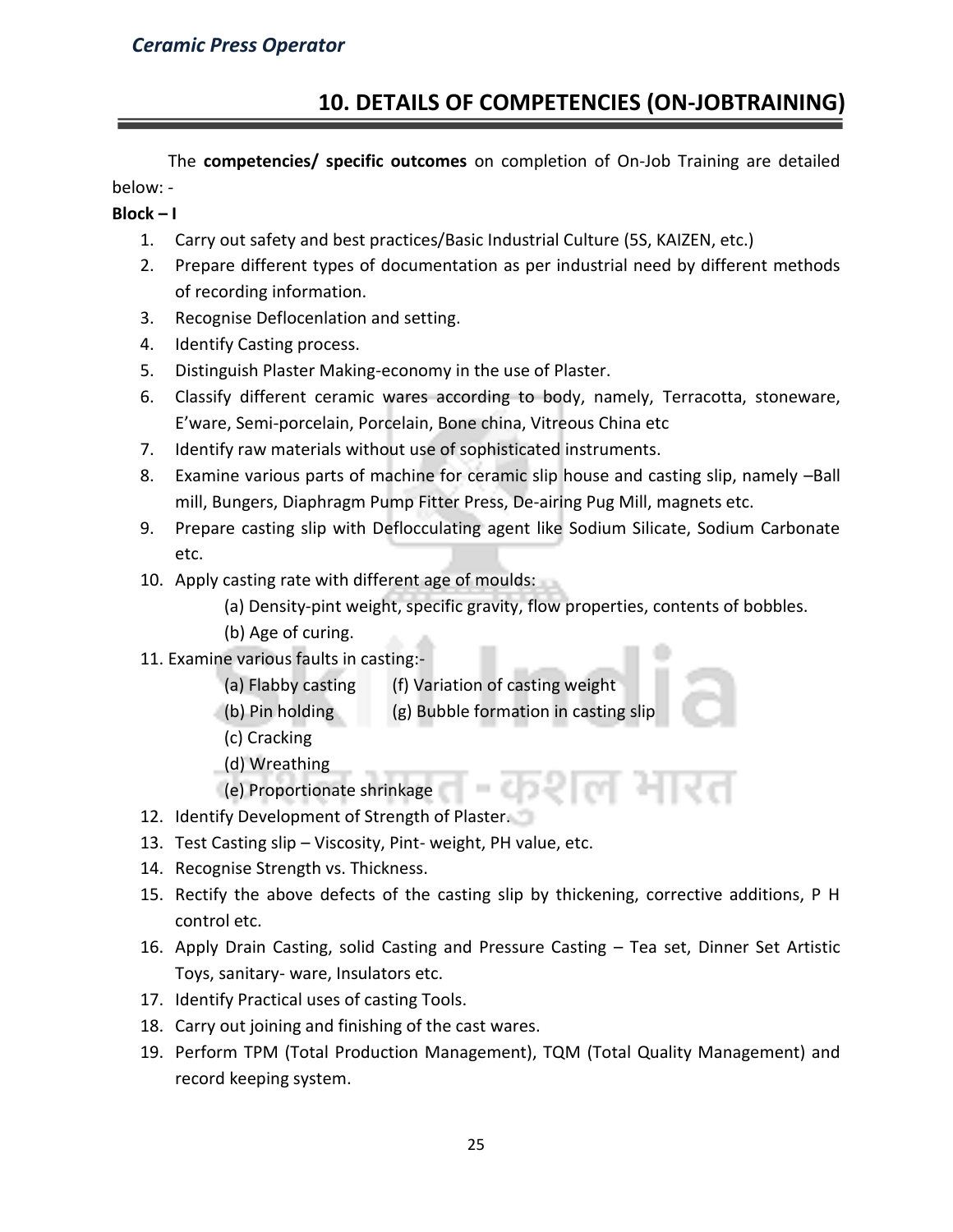# **10. DETAILS OF COMPETENCIES (ON-JOBTRAINING)**

The **competencies/ specific outcomes** on completion of On-Job Training are detailed below: -

#### **Block – I**

- 1. Carry out safety and best practices/Basic Industrial Culture (5S, KAIZEN, etc.)
- 2. Prepare different types of documentation as per industrial need by different methods of recording information.
- 3. Recognise Deflocenlation and setting.
- 4. Identify Casting process.
- 5. Distinguish Plaster Making-economy in the use of Plaster.
- 6. Classify different ceramic wares according to body, namely, Terracotta, stoneware, E'ware, Semi-porcelain, Porcelain, Bone china, Vitreous China etc
- 7. Identify raw materials without use of sophisticated instruments.
- 8. Examine various parts of machine for ceramic slip house and casting slip, namely –Ball mill, Bungers, Diaphragm Pump Fitter Press, De-airing Pug Mill, magnets etc.
- 9. Prepare casting slip with Deflocculating agent like Sodium Silicate, Sodium Carbonate etc.
- 10. Apply casting rate with different age of moulds:

(a) Density-pint weight, specific gravity, flow properties, contents of bobbles.

- (b) Age of curing.
- 11. Examine various faults in casting:-
	- (a) Flabby casting (f) Variation of casting weight
	- (b) Pin holding (g) Bubble formation in casting slip
	- (c) Cracking
	- (d) Wreathing
	- (e) Proportionate shrinkage
- 12. Identify Development of Strength of Plaster.
- 13. Test Casting slip Viscosity, Pint- weight, PH value, etc.
- 14. Recognise Strength vs. Thickness.
- 15. Rectify the above defects of the casting slip by thickening, corrective additions, P H control etc.
- 16. Apply Drain Casting, solid Casting and Pressure Casting Tea set, Dinner Set Artistic Toys, sanitary- ware, Insulators etc.
- 17. Identify Practical uses of casting Tools.
- 18. Carry out joining and finishing of the cast wares.
- 19. Perform TPM (Total Production Management), TQM (Total Quality Management) and record keeping system.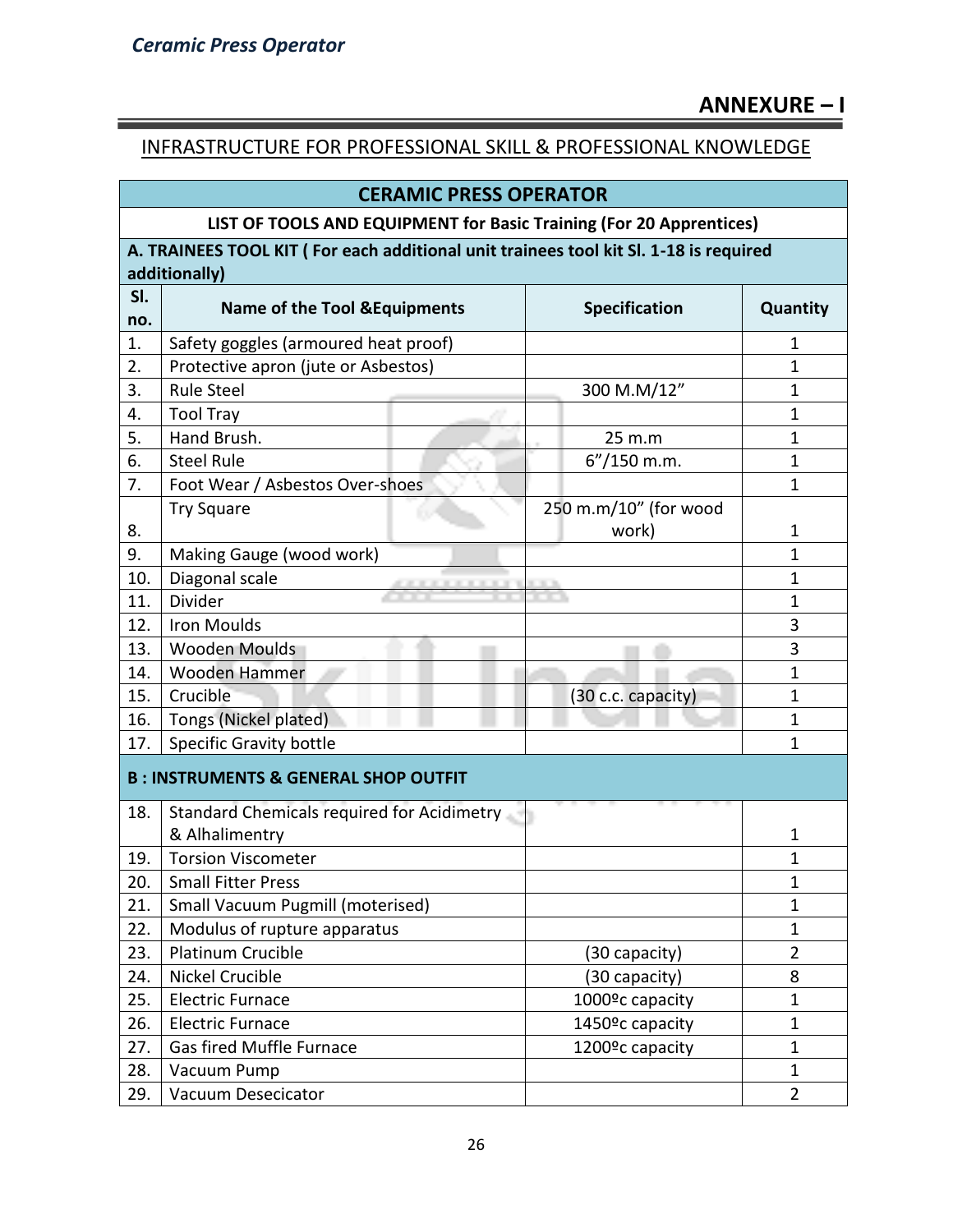# **ANNEXURE – I**

## INFRASTRUCTURE FOR PROFESSIONAL SKILL & PROFESSIONAL KNOWLEDGE

|                                                                     | <b>CERAMIC PRESS OPERATOR</b>                                                         |                              |                |  |  |  |  |  |  |  |
|---------------------------------------------------------------------|---------------------------------------------------------------------------------------|------------------------------|----------------|--|--|--|--|--|--|--|
| LIST OF TOOLS AND EQUIPMENT for Basic Training (For 20 Apprentices) |                                                                                       |                              |                |  |  |  |  |  |  |  |
|                                                                     | A. TRAINEES TOOL KIT (For each additional unit trainees tool kit SI. 1-18 is required |                              |                |  |  |  |  |  |  |  |
|                                                                     | additionally)                                                                         |                              |                |  |  |  |  |  |  |  |
| SI.                                                                 |                                                                                       | <b>Specification</b>         |                |  |  |  |  |  |  |  |
| no.                                                                 | <b>Name of the Tool &amp; Equipments</b>                                              | Quantity                     |                |  |  |  |  |  |  |  |
| 1.                                                                  | Safety goggles (armoured heat proof)                                                  |                              | 1              |  |  |  |  |  |  |  |
| 2.                                                                  | Protective apron (jute or Asbestos)                                                   |                              | $\mathbf{1}$   |  |  |  |  |  |  |  |
| 3.                                                                  | <b>Rule Steel</b>                                                                     | 300 M.M/12"                  | $\mathbf{1}$   |  |  |  |  |  |  |  |
| 4.                                                                  | <b>Tool Tray</b>                                                                      |                              | 1              |  |  |  |  |  |  |  |
| 5.                                                                  | Hand Brush.                                                                           | 25 m.m                       | $\mathbf 1$    |  |  |  |  |  |  |  |
| 6.                                                                  | <b>Steel Rule</b>                                                                     | 6"/150 m.m.                  | 1              |  |  |  |  |  |  |  |
| 7.                                                                  | Foot Wear / Asbestos Over-shoes                                                       |                              | $\mathbf{1}$   |  |  |  |  |  |  |  |
|                                                                     | <b>Try Square</b>                                                                     | 250 m.m/10" (for wood        |                |  |  |  |  |  |  |  |
| 8.                                                                  |                                                                                       | work)                        | 1              |  |  |  |  |  |  |  |
| 9.                                                                  | Making Gauge (wood work)                                                              |                              | $\mathbf{1}$   |  |  |  |  |  |  |  |
| 10.                                                                 | Diagonal scale                                                                        |                              | 1              |  |  |  |  |  |  |  |
| 11.                                                                 | Divider                                                                               |                              | $\mathbf{1}$   |  |  |  |  |  |  |  |
| 12.                                                                 | <b>Iron Moulds</b>                                                                    |                              | 3              |  |  |  |  |  |  |  |
| 13.                                                                 | <b>Wooden Moulds</b>                                                                  |                              | 3              |  |  |  |  |  |  |  |
| 14.                                                                 | Wooden Hammer                                                                         |                              | $\mathbf{1}$   |  |  |  |  |  |  |  |
| 15.                                                                 | Crucible                                                                              | (30 c.c. capacity)           | $\mathbf{1}$   |  |  |  |  |  |  |  |
| 16.                                                                 | Tongs (Nickel plated)                                                                 |                              | $\mathbf{1}$   |  |  |  |  |  |  |  |
| 17.                                                                 | <b>Specific Gravity bottle</b>                                                        |                              |                |  |  |  |  |  |  |  |
|                                                                     | <b>B: INSTRUMENTS &amp; GENERAL SHOP OUTFIT</b>                                       |                              |                |  |  |  |  |  |  |  |
| 18.                                                                 | Standard Chemicals required for Acidimetry                                            |                              |                |  |  |  |  |  |  |  |
|                                                                     | & Alhalimentry                                                                        |                              | 1              |  |  |  |  |  |  |  |
| 19.                                                                 | <b>Torsion Viscometer</b>                                                             |                              | 1              |  |  |  |  |  |  |  |
| 20.                                                                 | <b>Small Fitter Press</b>                                                             |                              | $\mathbf{1}$   |  |  |  |  |  |  |  |
| 21.                                                                 | <b>Small Vacuum Pugmill (moterised)</b>                                               |                              | $\mathbf{1}$   |  |  |  |  |  |  |  |
| 22.                                                                 | Modulus of rupture apparatus                                                          |                              | $\mathbf{1}$   |  |  |  |  |  |  |  |
| 23.                                                                 | Platinum Crucible                                                                     | (30 capacity)                | $\overline{2}$ |  |  |  |  |  |  |  |
| 24.                                                                 | <b>Nickel Crucible</b>                                                                | (30 capacity)                | 8              |  |  |  |  |  |  |  |
| 25.                                                                 | <b>Electric Furnace</b>                                                               | 1000 <sup>o</sup> c capacity | $\mathbf{1}$   |  |  |  |  |  |  |  |
| 26.                                                                 | <b>Electric Furnace</b>                                                               | 1450 <sup>o</sup> c capacity | $\mathbf{1}$   |  |  |  |  |  |  |  |
| 27.                                                                 | <b>Gas fired Muffle Furnace</b>                                                       | 1200 <sup>o</sup> c capacity | $\mathbf{1}$   |  |  |  |  |  |  |  |
| 28.                                                                 | Vacuum Pump                                                                           |                              | 1              |  |  |  |  |  |  |  |
| 29.                                                                 | Vacuum Desecicator                                                                    |                              | $\overline{2}$ |  |  |  |  |  |  |  |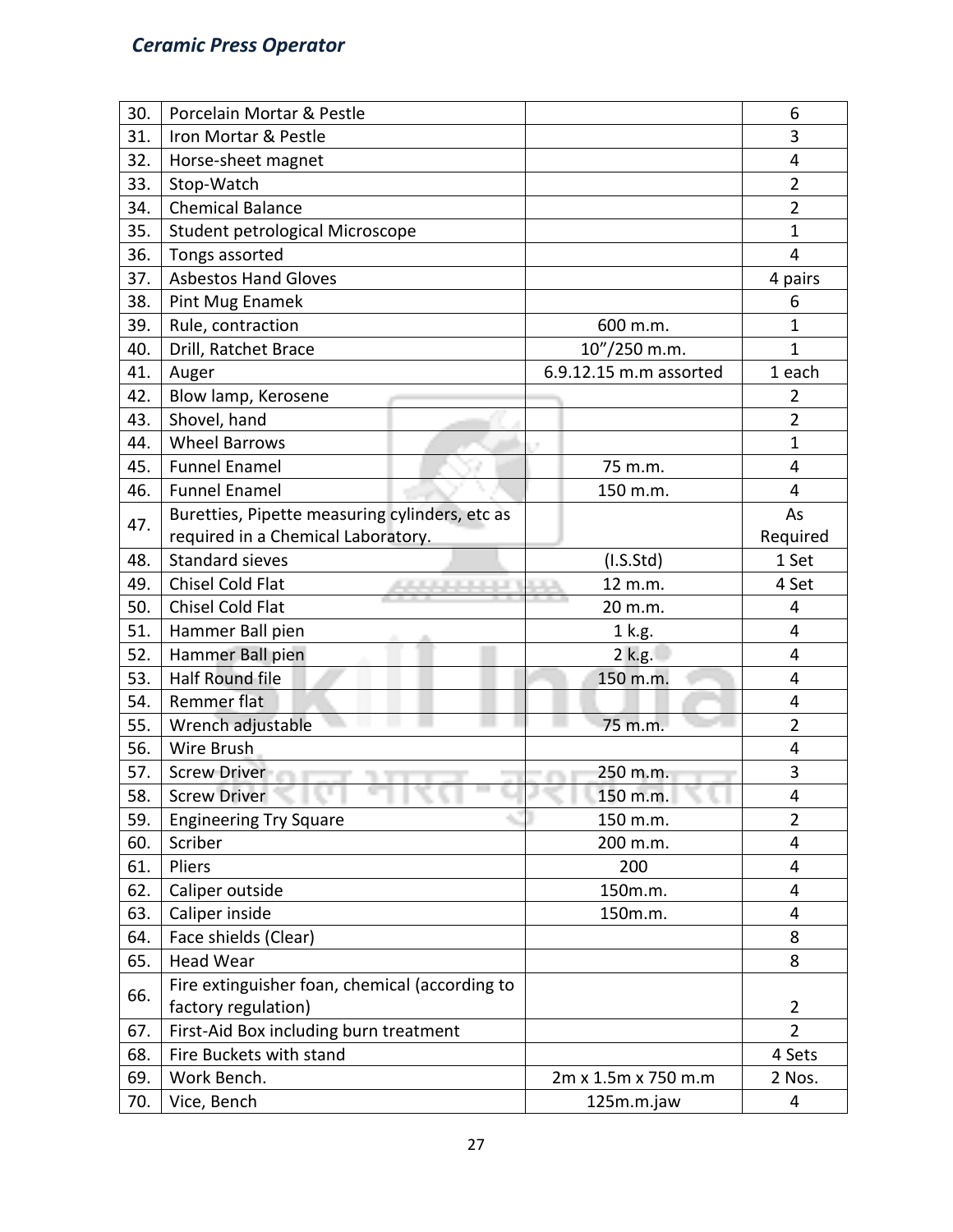| 30. | Porcelain Mortar & Pestle                      |                                                             |                        | 6              |
|-----|------------------------------------------------|-------------------------------------------------------------|------------------------|----------------|
| 31. | Iron Mortar & Pestle                           |                                                             |                        | 3              |
| 32. | Horse-sheet magnet                             |                                                             |                        | 4              |
| 33. | Stop-Watch                                     |                                                             |                        | $\overline{2}$ |
| 34. | <b>Chemical Balance</b>                        |                                                             |                        | $\overline{2}$ |
| 35. | Student petrological Microscope                |                                                             |                        | 1              |
| 36. | Tongs assorted                                 |                                                             |                        | 4              |
| 37. | <b>Asbestos Hand Gloves</b>                    |                                                             |                        | 4 pairs        |
| 38. | Pint Mug Enamek                                |                                                             |                        | 6              |
| 39. | Rule, contraction                              |                                                             | 600 m.m.               | $\mathbf{1}$   |
| 40. | Drill, Ratchet Brace                           |                                                             | 10"/250 m.m.           | $\mathbf{1}$   |
| 41. | Auger                                          |                                                             | 6.9.12.15 m.m assorted | 1 each         |
| 42. | Blow lamp, Kerosene                            |                                                             |                        | 2              |
| 43. | Shovel, hand                                   |                                                             |                        | $\overline{2}$ |
| 44. | <b>Wheel Barrows</b>                           |                                                             |                        | $\mathbf{1}$   |
| 45. | <b>Funnel Enamel</b>                           |                                                             | 75 m.m.                | 4              |
| 46. | <b>Funnel Enamel</b>                           |                                                             | 150 m.m.               | 4              |
| 47. | Buretties, Pipette measuring cylinders, etc as |                                                             |                        | As             |
|     | required in a Chemical Laboratory.             |                                                             |                        | Required       |
| 48. | <b>Standard sieves</b>                         |                                                             | (I.S.Std)              | 1 Set          |
| 49. | Chisel Cold Flat                               | <b><i><u><i><b>A</b></i></u></i> A <i>A A A A A A A</i></b> | 12 m.m.                | 4 Set          |
| 50. | <b>Chisel Cold Flat</b>                        |                                                             | 20 m.m.                | 4              |
| 51. | Hammer Ball pien                               |                                                             | 1 k.g.                 | 4              |
| 52. | Hammer Ball pien                               |                                                             | 2 k.g.                 | $\overline{4}$ |
| 53. | <b>Half Round file</b>                         |                                                             | 150 m.m.               | 4              |
| 54. | Remmer flat                                    |                                                             |                        | 4              |
| 55. | Wrench adjustable                              |                                                             | 75 m.m.                | $\overline{2}$ |
| 56. | Wire Brush                                     |                                                             |                        | 4              |
| 57. | <b>Screw Driver</b>                            |                                                             | 250 m.m.               | 3              |
| 58. | <b>Screw Driver</b><br>36 L                    | a s<br>- 16                                                 | 150 m.m.<br>76 L       | 4              |
| 59. | <b>Engineering Try Square</b>                  |                                                             | 150 m.m.               | $\overline{2}$ |
| 60. | Scriber                                        |                                                             | 200 m.m.               | 4              |
| 61. | Pliers                                         |                                                             | 200                    | 4              |
| 62. | Caliper outside                                |                                                             | 150m.m.                | 4              |
| 63. | Caliper inside                                 |                                                             | 150m.m.                | 4              |
| 64. | Face shields (Clear)                           |                                                             |                        | 8              |
| 65. | <b>Head Wear</b>                               |                                                             |                        | 8              |
| 66. | Fire extinguisher foan, chemical (according to |                                                             |                        |                |
|     | factory regulation)                            |                                                             |                        | $\overline{2}$ |
| 67. | First-Aid Box including burn treatment         |                                                             |                        | $\overline{2}$ |
| 68. | Fire Buckets with stand                        |                                                             |                        | 4 Sets         |
| 69. | Work Bench.                                    |                                                             | 2m x 1.5m x 750 m.m    | 2 Nos.         |
| 70. | Vice, Bench                                    |                                                             | 125m.m.jaw             | 4              |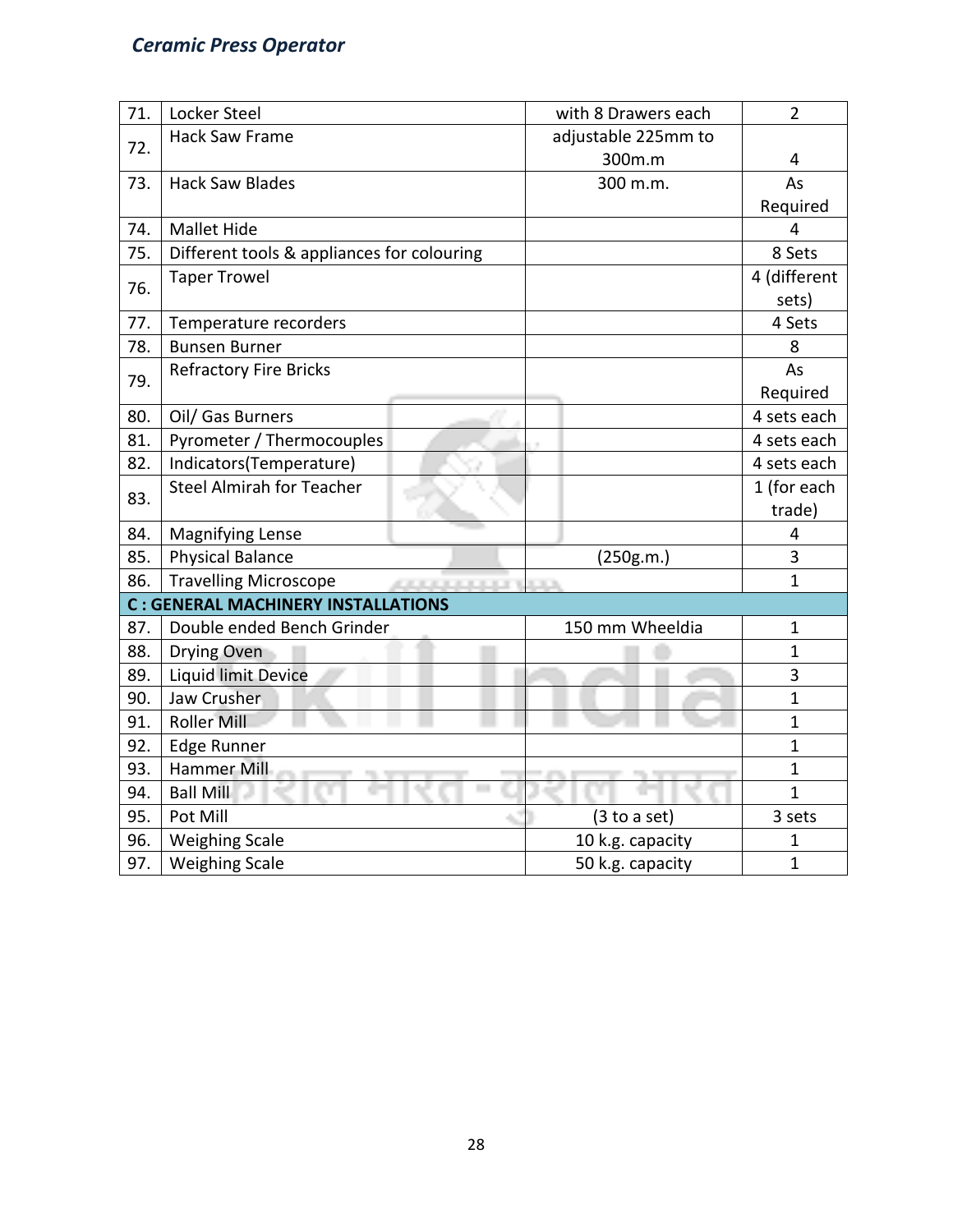| 71. | Locker Steel                               |                       | with 8 Drawers each | $\overline{2}$ |  |  |
|-----|--------------------------------------------|-----------------------|---------------------|----------------|--|--|
| 72. | <b>Hack Saw Frame</b>                      |                       | adjustable 225mm to |                |  |  |
|     |                                            |                       | 300m.m              | 4              |  |  |
| 73. | <b>Hack Saw Blades</b>                     |                       | 300 m.m.            | As             |  |  |
|     |                                            |                       |                     | Required       |  |  |
| 74. | Mallet Hide                                |                       |                     | 4              |  |  |
| 75. | Different tools & appliances for colouring |                       |                     | 8 Sets         |  |  |
| 76. | <b>Taper Trowel</b>                        |                       |                     | 4 (different   |  |  |
|     |                                            |                       |                     | sets)          |  |  |
| 77. | Temperature recorders                      |                       |                     | 4 Sets         |  |  |
| 78. | <b>Bunsen Burner</b>                       |                       |                     | 8              |  |  |
| 79. | <b>Refractory Fire Bricks</b>              |                       |                     | As             |  |  |
|     |                                            |                       |                     | Required       |  |  |
| 80. | Oil/ Gas Burners                           |                       |                     | 4 sets each    |  |  |
| 81. | Pyrometer / Thermocouples                  |                       |                     | 4 sets each    |  |  |
| 82. | Indicators(Temperature)                    |                       |                     | 4 sets each    |  |  |
| 83. | <b>Steel Almirah for Teacher</b>           |                       |                     | 1 (for each    |  |  |
|     |                                            |                       |                     | trade)         |  |  |
| 84. | <b>Magnifying Lense</b>                    |                       |                     | 4              |  |  |
| 85. | <b>Physical Balance</b>                    |                       | (250g.m.)           | 3              |  |  |
| 86. | <b>Travelling Microscope</b>               | <b>COLORADO DE 19</b> |                     | $\mathbf{1}$   |  |  |
|     | <b>C: GENERAL MACHINERY INSTALLATIONS</b>  |                       |                     |                |  |  |
| 87. | Double ended Bench Grinder                 |                       | 150 mm Wheeldia     | $\mathbf 1$    |  |  |
| 88. | Drying Oven                                |                       |                     | $\mathbf 1$    |  |  |
| 89. | <b>Liquid limit Device</b>                 |                       |                     | 3              |  |  |
| 90. | Jaw Crusher                                |                       |                     | $\mathbf{1}$   |  |  |
| 91. | Roller Mill                                |                       |                     | $\mathbf{1}$   |  |  |
| 92. | <b>Edge Runner</b>                         |                       |                     | $\mathbf{1}$   |  |  |
| 93. | Hammer Mill                                |                       |                     | $\mathbf{1}$   |  |  |
| 94. | <b>Ball Mill</b>                           |                       |                     | $\overline{1}$ |  |  |
| 95. | Pot Mill                                   |                       | (3 to a set)        | 3 sets         |  |  |
| 96. | <b>Weighing Scale</b>                      |                       | 10 k.g. capacity    | $\mathbf 1$    |  |  |
| 97. | <b>Weighing Scale</b>                      |                       | 50 k.g. capacity    | $\mathbf{1}$   |  |  |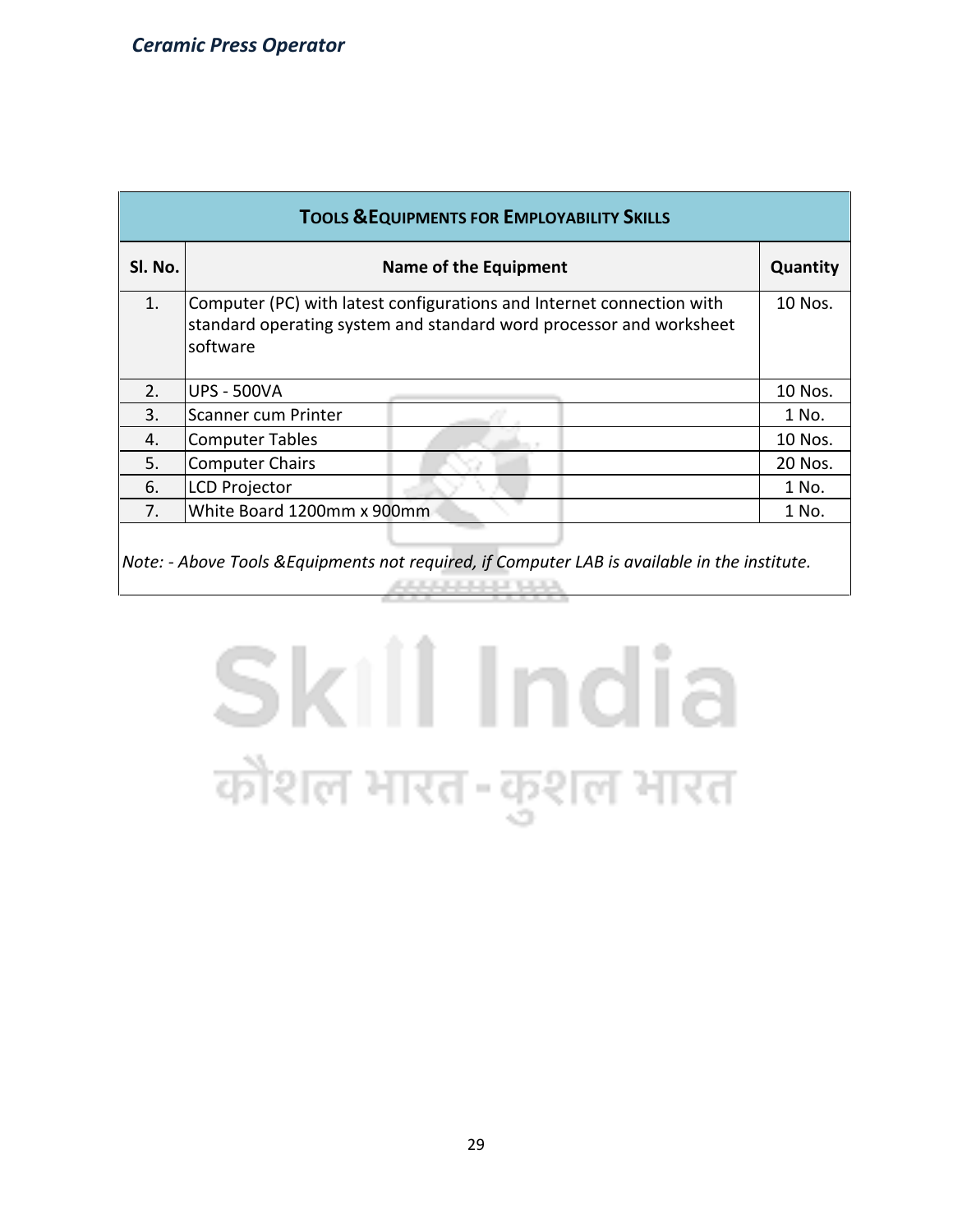| <b>TOOLS &amp; EQUIPMENTS FOR EMPLOYABILITY SKILLS</b> |                                                                                                                                                          |         |  |  |  |  |  |  |
|--------------------------------------------------------|----------------------------------------------------------------------------------------------------------------------------------------------------------|---------|--|--|--|--|--|--|
| SI. No.                                                | <b>Name of the Equipment</b>                                                                                                                             |         |  |  |  |  |  |  |
| 1.                                                     | Computer (PC) with latest configurations and Internet connection with<br>standard operating system and standard word processor and worksheet<br>software |         |  |  |  |  |  |  |
| 2.                                                     | <b>UPS - 500VA</b>                                                                                                                                       | 10 Nos. |  |  |  |  |  |  |
| 3.                                                     | Scanner cum Printer                                                                                                                                      | 1 No.   |  |  |  |  |  |  |
| 4.                                                     | <b>Computer Tables</b>                                                                                                                                   | 10 Nos. |  |  |  |  |  |  |
| 5.                                                     | <b>Computer Chairs</b>                                                                                                                                   | 20 Nos. |  |  |  |  |  |  |
| 6.                                                     | <b>LCD Projector</b>                                                                                                                                     | 1 No.   |  |  |  |  |  |  |
| 7 <sub>1</sub>                                         | White Board 1200mm x 900mm                                                                                                                               | 1 No.   |  |  |  |  |  |  |
|                                                        |                                                                                                                                                          |         |  |  |  |  |  |  |

*Note: - Above Tools &Equipments not required, if Computer LAB is available in the institute.*1000000001000

# Skill India कौशल भारत-कुशल भारत